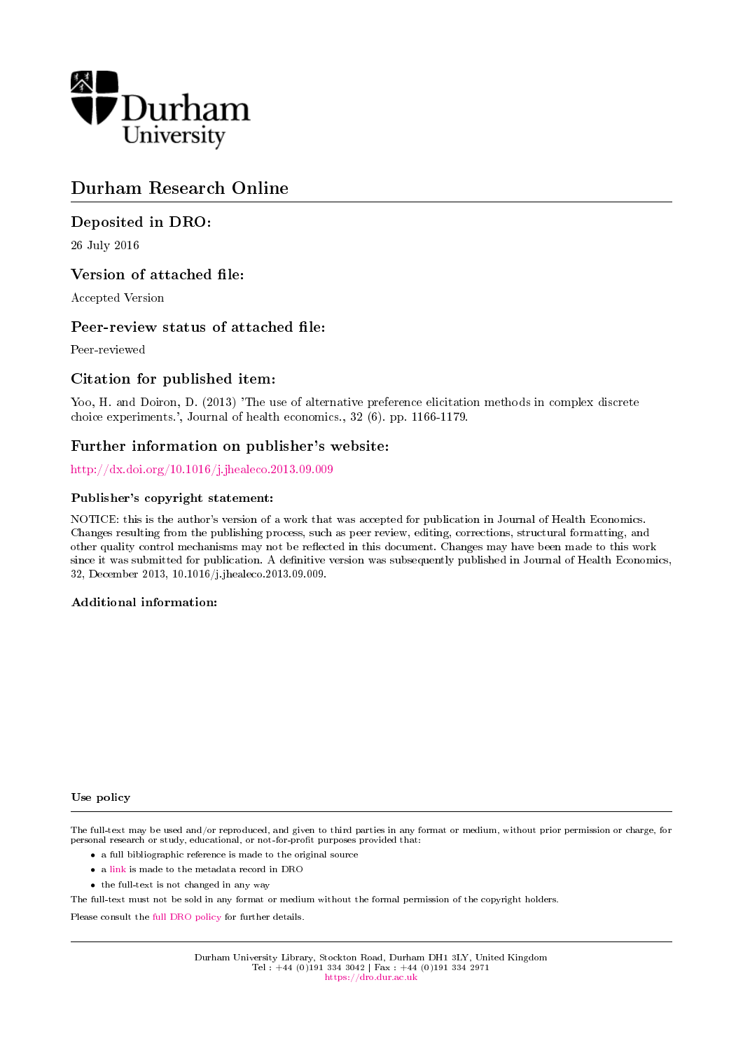

# Durham Research Online

# Deposited in DRO:

26 July 2016

# Version of attached file:

Accepted Version

# Peer-review status of attached file:

Peer-reviewed

# Citation for published item:

Yoo, H. and Doiron, D. (2013) 'The use of alternative preference elicitation methods in complex discrete choice experiments.', Journal of health economics., 32 (6). pp. 1166-1179.

# Further information on publisher's website:

<http://dx.doi.org/10.1016/j.jhealeco.2013.09.009>

### Publisher's copyright statement:

NOTICE: this is the author's version of a work that was accepted for publication in Journal of Health Economics. Changes resulting from the publishing process, such as peer review, editing, corrections, structural formatting, and other quality control mechanisms may not be reflected in this document. Changes may have been made to this work since it was submitted for publication. A denitive version was subsequently published in Journal of Health Economics, 32, December 2013, 10.1016/j.jhealeco.2013.09.009.

### Additional information:

### Use policy

The full-text may be used and/or reproduced, and given to third parties in any format or medium, without prior permission or charge, for personal research or study, educational, or not-for-profit purposes provided that:

- a full bibliographic reference is made to the original source
- a [link](http://dro.dur.ac.uk/19350/) is made to the metadata record in DRO
- the full-text is not changed in any way

The full-text must not be sold in any format or medium without the formal permission of the copyright holders.

Please consult the [full DRO policy](https://dro.dur.ac.uk/policies/usepolicy.pdf) for further details.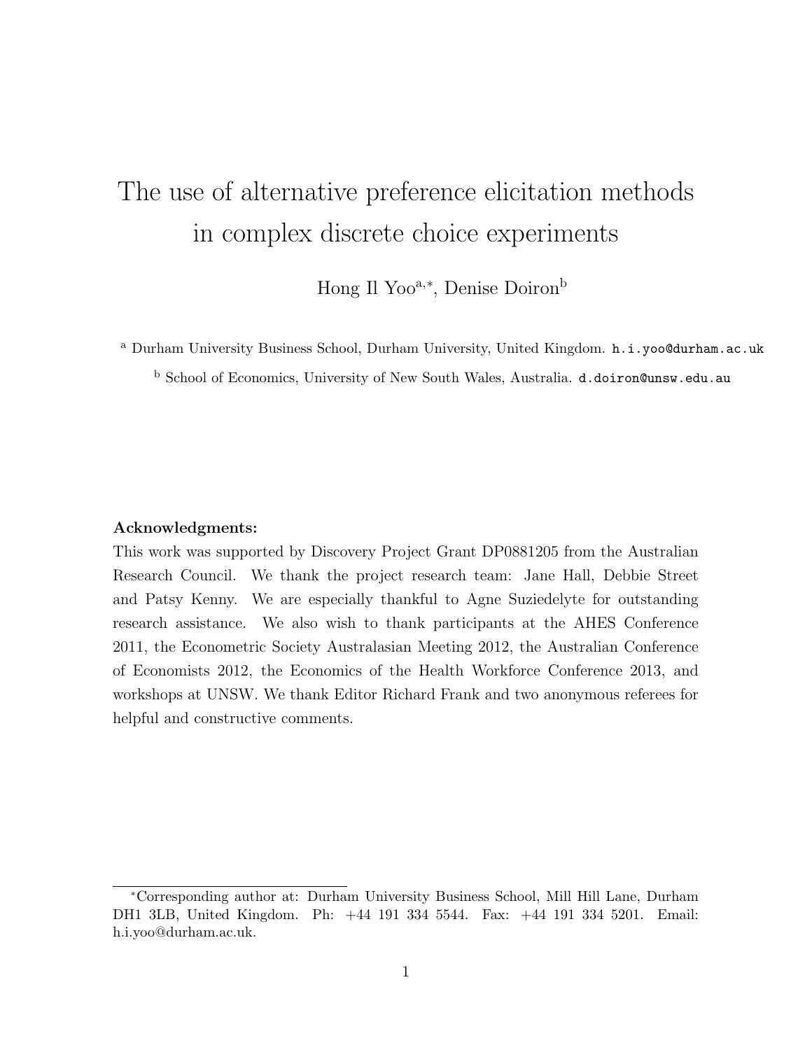# The use of alternative preference elicitation methods in complex discrete choice experiments

Hong Il Yoo<sup>a,\*</sup>, Denise Doiron<sup>b</sup>

<sup>a</sup> Durham University Business School, Durham University, United Kingdom. h.i.yoo@durham.ac.uk

<sup>b</sup> School of Economics, University of New South Wales, Australia. d.doiron@unsw.edu.au

### Acknowledgments:

This work was supported by Discovery Project Grant DP0881205 from the Australian Research Council. We thank the project research team: Jane Hall, Debbie Street and Patsy Kenny. We are especially thankful to Agne Suziedelyte for outstanding research assistance. We also wish to thank participants at the AHES Conference 2011, the Econometric Society Australasian Meeting 2012, the Australian Conference of Economists 2012, the Economics of the Health Workforce Conference 2013, and workshops at UNSW. We thank Editor Richard Frank and two anonymous referees for helpful and constructive comments.

<sup>∗</sup>Corresponding author at: Durham University Business School, Mill Hill Lane, Durham DH1 3LB, United Kingdom. Ph: +44 191 334 5544. Fax: +44 191 334 5201. Email: h.i.yoo@durham.ac.uk.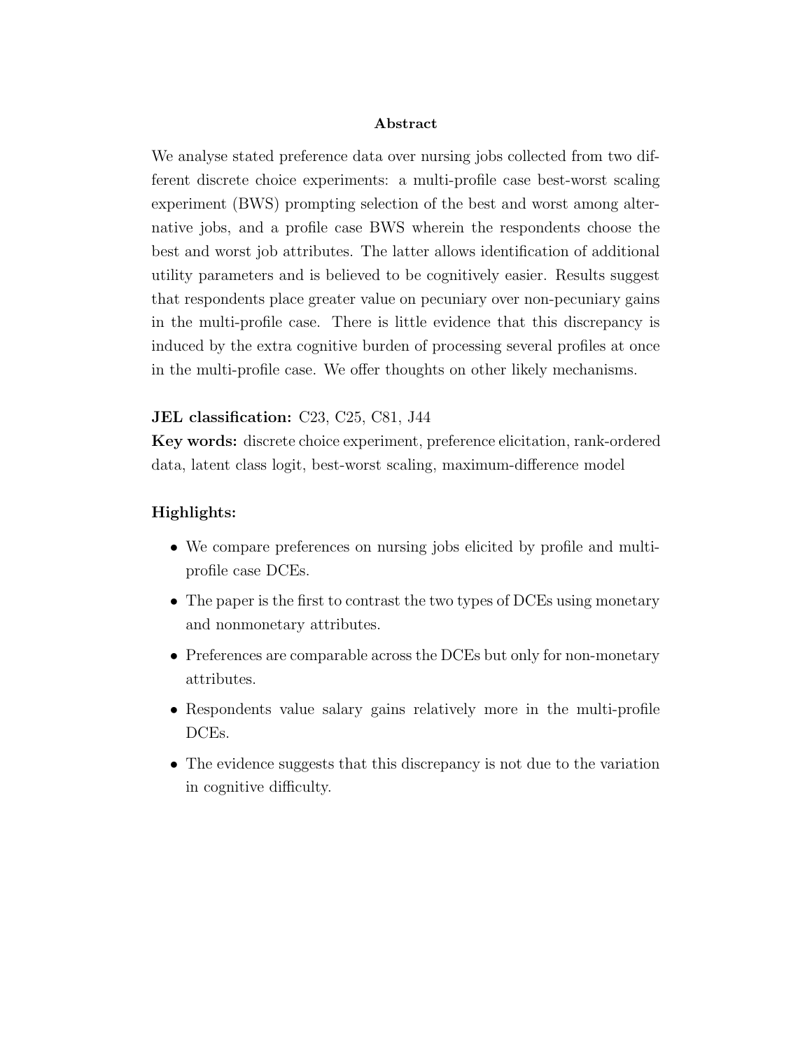### Abstract

We analyse stated preference data over nursing jobs collected from two different discrete choice experiments: a multi-profile case best-worst scaling experiment (BWS) prompting selection of the best and worst among alternative jobs, and a profile case BWS wherein the respondents choose the best and worst job attributes. The latter allows identification of additional utility parameters and is believed to be cognitively easier. Results suggest that respondents place greater value on pecuniary over non-pecuniary gains in the multi-profile case. There is little evidence that this discrepancy is induced by the extra cognitive burden of processing several profiles at once in the multi-profile case. We offer thoughts on other likely mechanisms.

### JEL classification: C23, C25, C81, J44

Key words: discrete choice experiment, preference elicitation, rank-ordered data, latent class logit, best-worst scaling, maximum-difference model

### Highlights:

- We compare preferences on nursing jobs elicited by profile and multiprofile case DCEs.
- The paper is the first to contrast the two types of DCEs using monetary and nonmonetary attributes.
- Preferences are comparable across the DCEs but only for non-monetary attributes.
- Respondents value salary gains relatively more in the multi-profile DCEs.
- The evidence suggests that this discrepancy is not due to the variation in cognitive difficulty.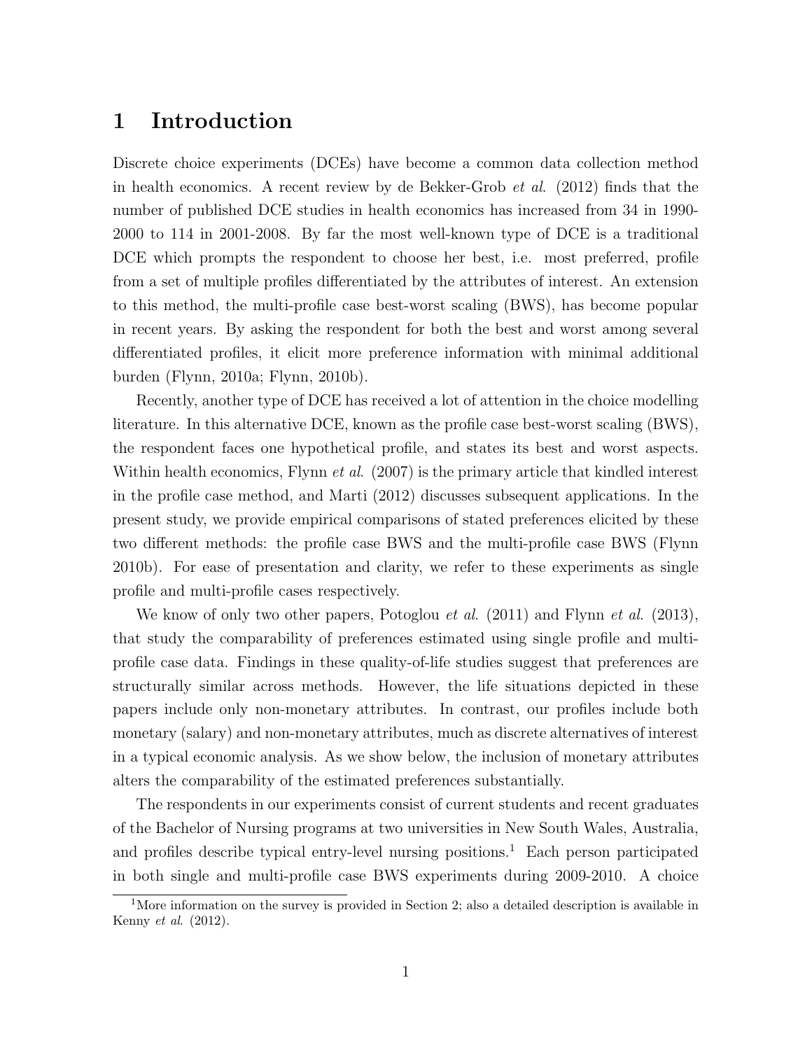# 1 Introduction

Discrete choice experiments (DCEs) have become a common data collection method in health economics. A recent review by de Bekker-Grob et al. (2012) finds that the number of published DCE studies in health economics has increased from 34 in 1990- 2000 to 114 in 2001-2008. By far the most well-known type of DCE is a traditional DCE which prompts the respondent to choose her best, i.e. most preferred, profile from a set of multiple profiles differentiated by the attributes of interest. An extension to this method, the multi-profile case best-worst scaling (BWS), has become popular in recent years. By asking the respondent for both the best and worst among several differentiated profiles, it elicit more preference information with minimal additional burden (Flynn, 2010a; Flynn, 2010b).

Recently, another type of DCE has received a lot of attention in the choice modelling literature. In this alternative DCE, known as the profile case best-worst scaling (BWS), the respondent faces one hypothetical profile, and states its best and worst aspects. Within health economics, Flynn *et al.* (2007) is the primary article that kindled interest in the profile case method, and Marti (2012) discusses subsequent applications. In the present study, we provide empirical comparisons of stated preferences elicited by these two different methods: the profile case BWS and the multi-profile case BWS (Flynn 2010b). For ease of presentation and clarity, we refer to these experiments as single profile and multi-profile cases respectively.

We know of only two other papers, Potoglou *et al.* (2011) and Flynn *et al.* (2013), that study the comparability of preferences estimated using single profile and multiprofile case data. Findings in these quality-of-life studies suggest that preferences are structurally similar across methods. However, the life situations depicted in these papers include only non-monetary attributes. In contrast, our profiles include both monetary (salary) and non-monetary attributes, much as discrete alternatives of interest in a typical economic analysis. As we show below, the inclusion of monetary attributes alters the comparability of the estimated preferences substantially.

The respondents in our experiments consist of current students and recent graduates of the Bachelor of Nursing programs at two universities in New South Wales, Australia, and profiles describe typical entry-level nursing positions.<sup>1</sup> Each person participated in both single and multi-profile case BWS experiments during 2009-2010. A choice

<sup>&</sup>lt;sup>1</sup>More information on the survey is provided in Section 2; also a detailed description is available in Kenny et al. (2012).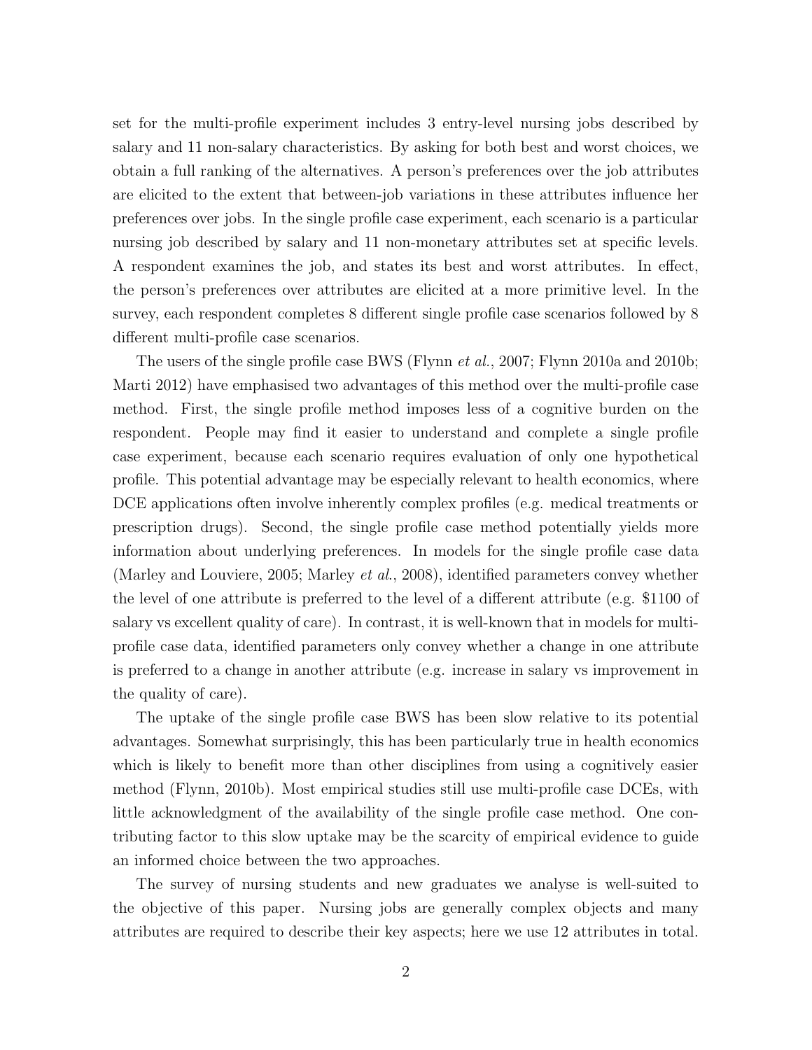set for the multi-profile experiment includes 3 entry-level nursing jobs described by salary and 11 non-salary characteristics. By asking for both best and worst choices, we obtain a full ranking of the alternatives. A person's preferences over the job attributes are elicited to the extent that between-job variations in these attributes influence her preferences over jobs. In the single profile case experiment, each scenario is a particular nursing job described by salary and 11 non-monetary attributes set at specific levels. A respondent examines the job, and states its best and worst attributes. In effect, the person's preferences over attributes are elicited at a more primitive level. In the survey, each respondent completes 8 different single profile case scenarios followed by 8 different multi-profile case scenarios.

The users of the single profile case BWS (Flynn *et al.*, 2007; Flynn 2010a and 2010b; Marti 2012) have emphasised two advantages of this method over the multi-profile case method. First, the single profile method imposes less of a cognitive burden on the respondent. People may find it easier to understand and complete a single profile case experiment, because each scenario requires evaluation of only one hypothetical profile. This potential advantage may be especially relevant to health economics, where DCE applications often involve inherently complex profiles (e.g. medical treatments or prescription drugs). Second, the single profile case method potentially yields more information about underlying preferences. In models for the single profile case data (Marley and Louviere, 2005; Marley *et al.*, 2008), identified parameters convey whether the level of one attribute is preferred to the level of a different attribute (e.g. \$1100 of salary vs excellent quality of care). In contrast, it is well-known that in models for multiprofile case data, identified parameters only convey whether a change in one attribute is preferred to a change in another attribute (e.g. increase in salary vs improvement in the quality of care).

The uptake of the single profile case BWS has been slow relative to its potential advantages. Somewhat surprisingly, this has been particularly true in health economics which is likely to benefit more than other disciplines from using a cognitively easier method (Flynn, 2010b). Most empirical studies still use multi-profile case DCEs, with little acknowledgment of the availability of the single profile case method. One contributing factor to this slow uptake may be the scarcity of empirical evidence to guide an informed choice between the two approaches.

The survey of nursing students and new graduates we analyse is well-suited to the objective of this paper. Nursing jobs are generally complex objects and many attributes are required to describe their key aspects; here we use 12 attributes in total.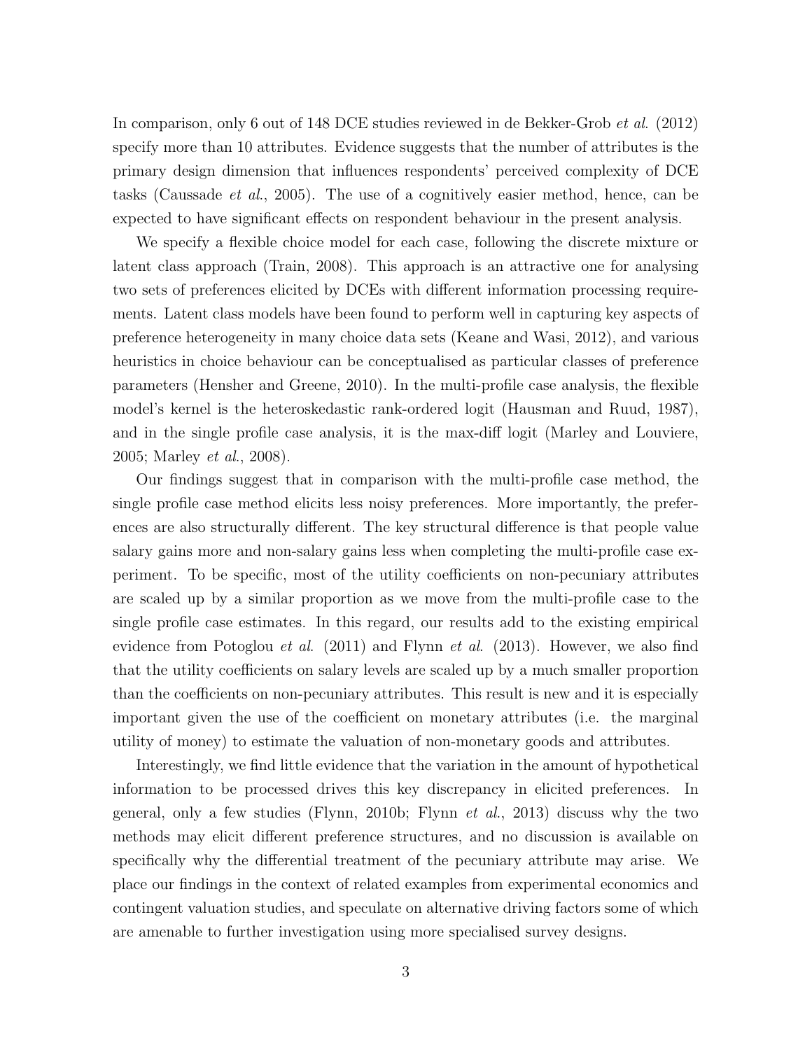In comparison, only 6 out of 148 DCE studies reviewed in de Bekker-Grob et al. (2012) specify more than 10 attributes. Evidence suggests that the number of attributes is the primary design dimension that influences respondents' perceived complexity of DCE tasks (Caussade et al., 2005). The use of a cognitively easier method, hence, can be expected to have significant effects on respondent behaviour in the present analysis.

We specify a flexible choice model for each case, following the discrete mixture or latent class approach (Train, 2008). This approach is an attractive one for analysing two sets of preferences elicited by DCEs with different information processing requirements. Latent class models have been found to perform well in capturing key aspects of preference heterogeneity in many choice data sets (Keane and Wasi, 2012), and various heuristics in choice behaviour can be conceptualised as particular classes of preference parameters (Hensher and Greene, 2010). In the multi-profile case analysis, the flexible model's kernel is the heteroskedastic rank-ordered logit (Hausman and Ruud, 1987), and in the single profile case analysis, it is the max-diff logit (Marley and Louviere, 2005; Marley et al., 2008).

Our findings suggest that in comparison with the multi-profile case method, the single profile case method elicits less noisy preferences. More importantly, the preferences are also structurally different. The key structural difference is that people value salary gains more and non-salary gains less when completing the multi-profile case experiment. To be specific, most of the utility coefficients on non-pecuniary attributes are scaled up by a similar proportion as we move from the multi-profile case to the single profile case estimates. In this regard, our results add to the existing empirical evidence from Potoglou *et al.* (2011) and Flynn *et al.* (2013). However, we also find that the utility coefficients on salary levels are scaled up by a much smaller proportion than the coefficients on non-pecuniary attributes. This result is new and it is especially important given the use of the coefficient on monetary attributes (i.e. the marginal utility of money) to estimate the valuation of non-monetary goods and attributes.

Interestingly, we find little evidence that the variation in the amount of hypothetical information to be processed drives this key discrepancy in elicited preferences. In general, only a few studies (Flynn, 2010b; Flynn  $et \ al., 2013$ ) discuss why the two methods may elicit different preference structures, and no discussion is available on specifically why the differential treatment of the pecuniary attribute may arise. We place our findings in the context of related examples from experimental economics and contingent valuation studies, and speculate on alternative driving factors some of which are amenable to further investigation using more specialised survey designs.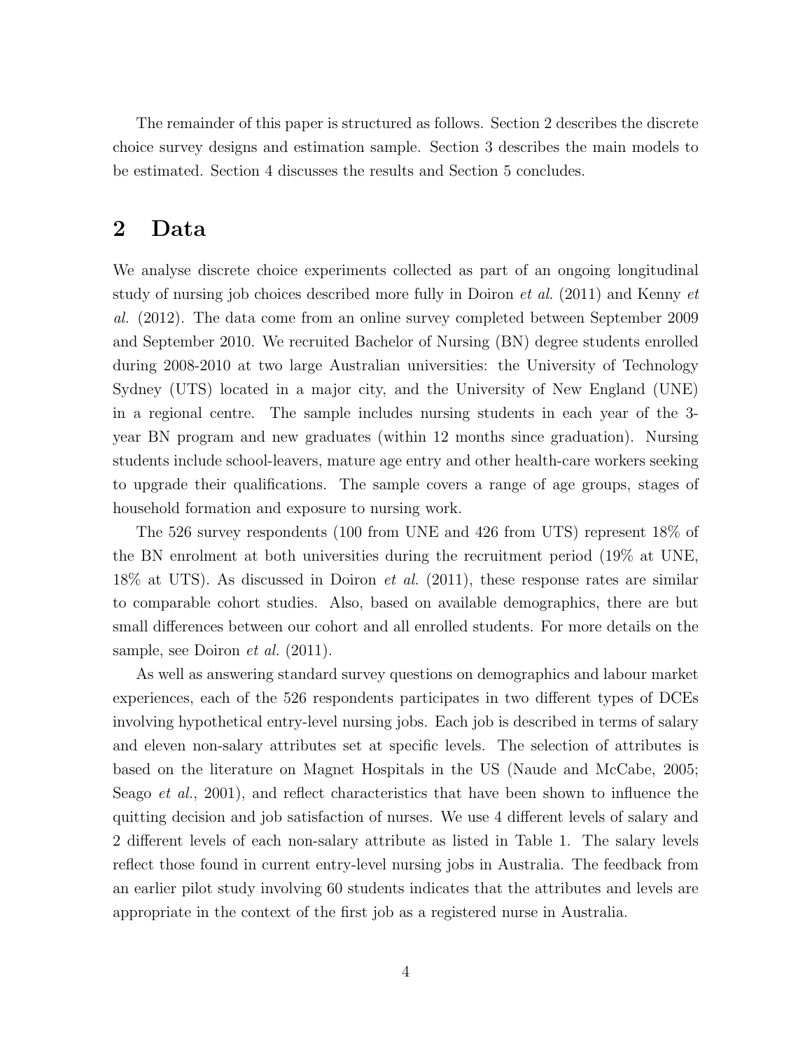The remainder of this paper is structured as follows. Section 2 describes the discrete choice survey designs and estimation sample. Section 3 describes the main models to be estimated. Section 4 discusses the results and Section 5 concludes.

# 2 Data

We analyse discrete choice experiments collected as part of an ongoing longitudinal study of nursing job choices described more fully in Doiron et al. (2011) and Kenny et al. (2012). The data come from an online survey completed between September 2009 and September 2010. We recruited Bachelor of Nursing (BN) degree students enrolled during 2008-2010 at two large Australian universities: the University of Technology Sydney (UTS) located in a major city, and the University of New England (UNE) in a regional centre. The sample includes nursing students in each year of the 3 year BN program and new graduates (within 12 months since graduation). Nursing students include school-leavers, mature age entry and other health-care workers seeking to upgrade their qualifications. The sample covers a range of age groups, stages of household formation and exposure to nursing work.

The 526 survey respondents (100 from UNE and 426 from UTS) represent 18% of the BN enrolment at both universities during the recruitment period (19% at UNE, 18% at UTS). As discussed in Doiron *et al.* (2011), these response rates are similar to comparable cohort studies. Also, based on available demographics, there are but small differences between our cohort and all enrolled students. For more details on the sample, see Doiron *et al.* (2011).

As well as answering standard survey questions on demographics and labour market experiences, each of the 526 respondents participates in two different types of DCEs involving hypothetical entry-level nursing jobs. Each job is described in terms of salary and eleven non-salary attributes set at specific levels. The selection of attributes is based on the literature on Magnet Hospitals in the US (Naude and McCabe, 2005; Seago *et al.*, 2001), and reflect characteristics that have been shown to influence the quitting decision and job satisfaction of nurses. We use 4 different levels of salary and 2 different levels of each non-salary attribute as listed in Table 1. The salary levels reflect those found in current entry-level nursing jobs in Australia. The feedback from an earlier pilot study involving 60 students indicates that the attributes and levels are appropriate in the context of the first job as a registered nurse in Australia.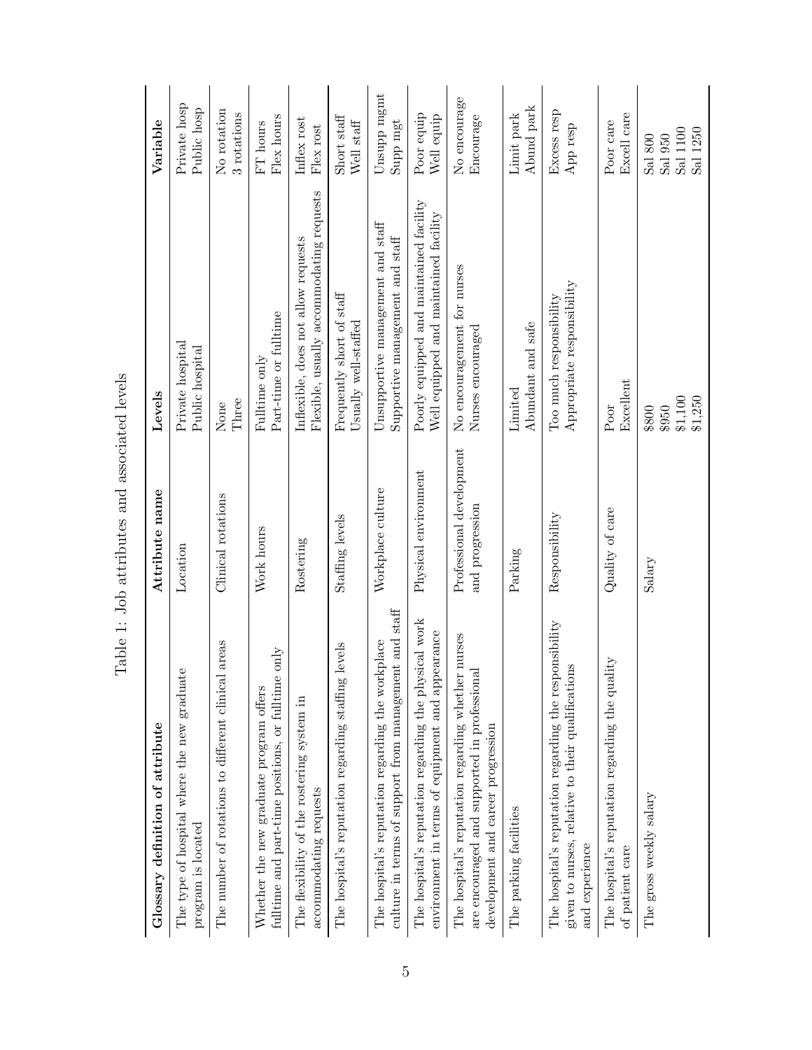| Glossary definition of attribute                                                                                                         | Attribute name                              | Levels                                                                           | Variable                                   |
|------------------------------------------------------------------------------------------------------------------------------------------|---------------------------------------------|----------------------------------------------------------------------------------|--------------------------------------------|
| The type of hospital where the new graduate<br>program is located                                                                        | Location                                    | Private hospital<br>Public hospital                                              | Private hosp<br>Public hosp                |
| The number of rotations to different clinical areas                                                                                      | Clinical rotations                          | Three<br>None                                                                    | No rotation<br>3 rotations                 |
| fulltime and part-time positions, or fulltime only<br>Whether the new graduate program offers                                            | Work hours                                  | Part-time or fulltime<br>Fulltime only                                           | Flex hours<br>$FT$ hours                   |
| The flexibility of the rostering system in<br>accommodating requests                                                                     | Rostering                                   | Flexible, usually accommodating requests<br>Inflexible, does not allow requests  | Inflex rost<br>Flex rost                   |
| The hospital's reputation regarding staffing levels                                                                                      | Staffing levels                             | Frequently short of staff<br>Usually well-staffed                                | Short staff<br>Well staff                  |
| culture in terms of support from management and staff<br>The hospital's reputation regarding the workplace                               | Workplace culture                           | Unsupportive management and staff<br>Supportive management and staff             | Unsupp mgmt<br>Supp mgt                    |
| sical work<br>environment in terms of equipment and appearance<br>The hospital's reputation regarding the phy                            | Physical environment                        | Poorly equipped and maintained facility<br>Well equipped and maintained facility | Poor equip<br>Well equip                   |
| The hospital's reputation regarding whether nurses<br>are encouraged and supported in professional<br>development and career progression | Professional development<br>and progression | No encouragement for nurses<br>Nurses encouraged                                 | No encourage<br>Encourage                  |
| The parking facilities                                                                                                                   | Parking                                     | Abundant and safe<br>Limited                                                     | Abund park<br>Limit park                   |
| The hospital's reputation regarding the responsibility<br>given to nurses, relative to their qualifications<br>and experience            | Responsibility                              | ${\large \rm Appendix}$<br>Too much responsibility                               | Excess resp<br>App resp                    |
| The hospital's reputation regarding the quality<br>of patient care                                                                       | Quality of care                             | Excellent<br>Poor                                                                | Excell care<br>Poor care                   |
| The gross weekly salary                                                                                                                  | Salary                                      | $\$1,100$<br>\$1,250<br>\$950<br>\$800                                           | Sal 1100<br>Sal 1250<br>Sal 950<br>Sal 800 |

Table 1: Job attributes and associated levels Table 1: Job attributes and associated levels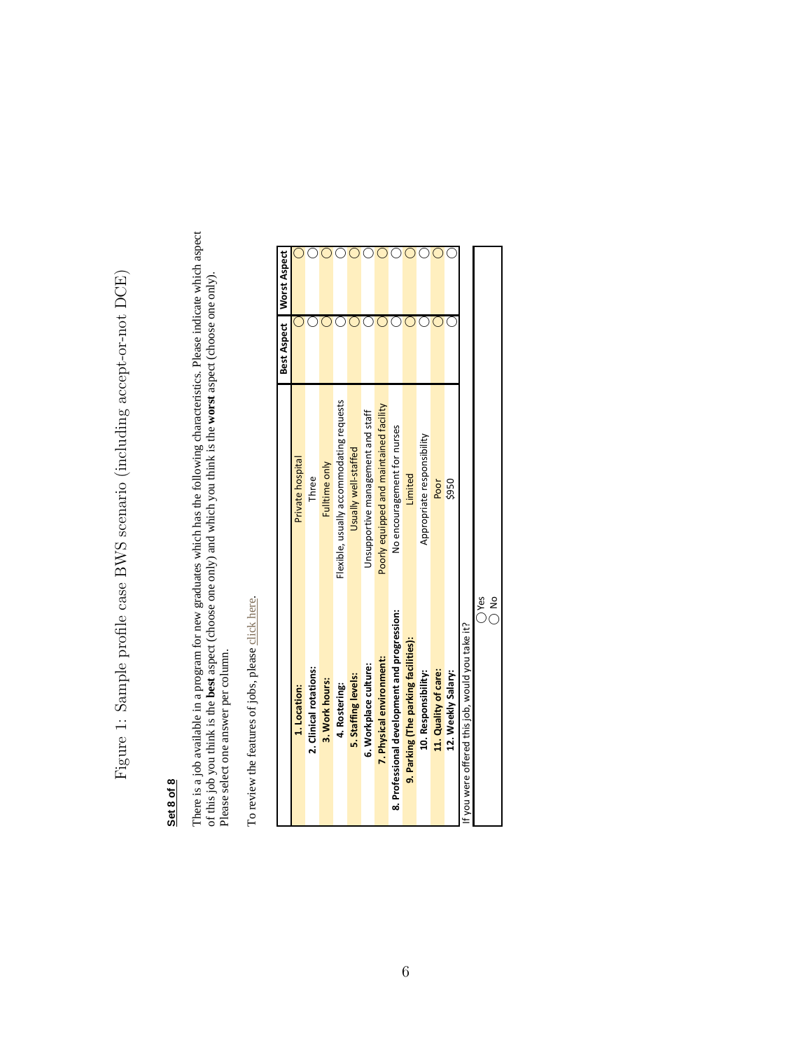Figure 1: Sample profile case BWS scenario (including accept-or-not DCE) Figure 1: Sample profile case BWS scenario (including accept-or-not DCE)

# Set 8 of 8 **Set 8 of 8**

There is a job available in a program for new graduates which has the following characteristics. Please indicate which aspect of this job you think is the **best** aspect (choose one one one one one one one).<br>Please select o There is a job available in a program for new graduates which has the following characteristics. Please indicate which aspect of this job you think is the **best** aspect (choose one only) and which you think is the **worst** aspect (choose one only). Please select one answer per column.

To review the features of jobs, please click here. To review the features of jobs, please click here.

|                                                  |                                          | Best Aspect | <b>Worst Aspect</b> |
|--------------------------------------------------|------------------------------------------|-------------|---------------------|
| 1. Location:                                     | Private hospital                         |             |                     |
| 2. Clinical rotations:                           | Three                                    |             |                     |
| 3. Work hours:                                   | Fulltime only                            |             |                     |
| 4. Rostering:                                    | Flexible, usually accommodating requests |             |                     |
| 5. Staffing levels:                              | Usually well-staffed                     |             |                     |
| 6. Workplace culture:                            | Unsupportive management and staff        |             |                     |
| 7. Physical environment:                         | Poorly equipped and maintained facility  |             |                     |
| 8. Professional development and progression:     | No encouragement for nurses              |             |                     |
| 9. Parking (The parking facilities):             | Limited                                  |             |                     |
| 10. Responsibility:                              | Appropriate responsibility               |             |                     |
| 11. Quality of care:                             | Poor                                     |             |                     |
| 12. Weekly Salary:                               | \$950                                    |             |                     |
| If you were offered this job, would you take it? |                                          |             |                     |
| $\frac{9}{2}$<br>O Yes                           |                                          |             |                     |
|                                                  |                                          |             |                     |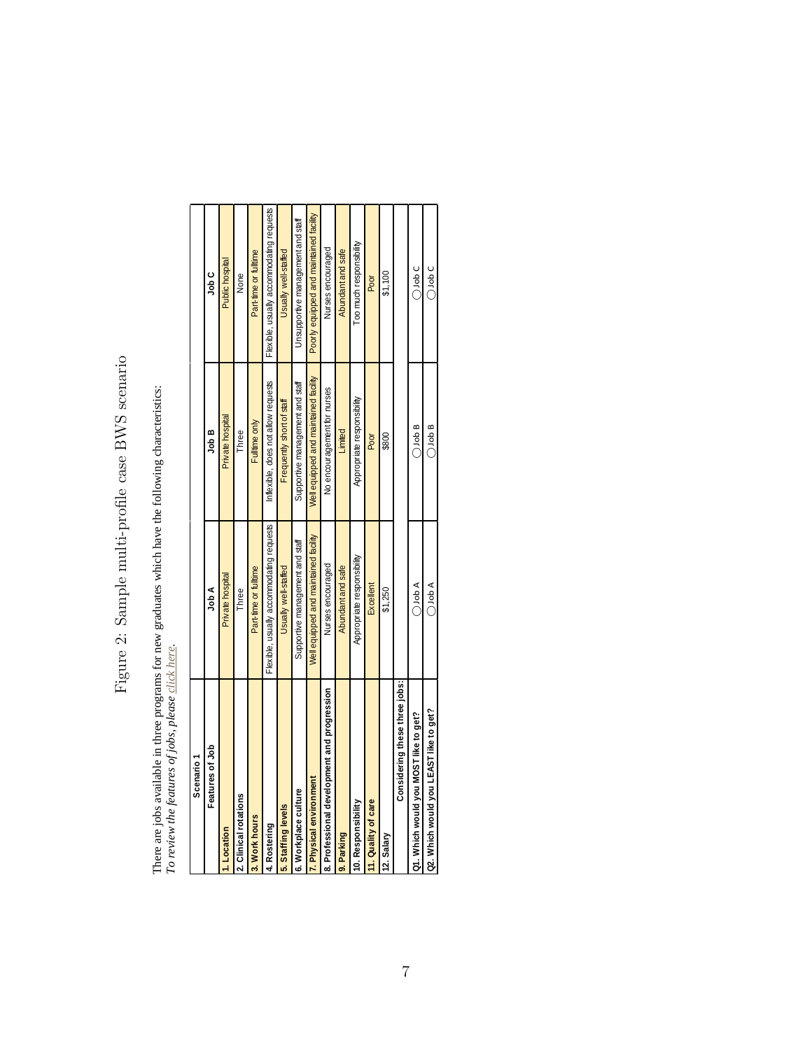# Figure 2: Sample multi-profile case BWS scenario Figure 2: Sample multi-profile case BWS scenario

There are jobs available in three programs for new graduates which have the following characteristics:<br>To review the features of jobs, please click here. There are jobs available in three programs for new graduates which have the following characteristics: *To review the features of jobs, please click here*.

| Scenario <sup>-</sup>                       |                                          |                                       |                                          |
|---------------------------------------------|------------------------------------------|---------------------------------------|------------------------------------------|
| Features of Job                             | A dol                                    | Job B                                 | Job C                                    |
| Location                                    | Private hospital                         | Private hospital                      | Public hospital                          |
| 2. Clinical rotations                       | Three                                    | Three                                 | None                                     |
| 3. Work hours                               | Part-time or fulltime                    | Fulltime only                         | Part-time or fulltime                    |
| 4. Rostering                                | Flexible, usually accommodating requests | Inflexible, does not allow requests   | Flexible, usually accommodating requests |
| 5. Staffing levels                          | Usually well-staffed                     | Frequently short of staff             | Usually well-staffed                     |
| 6. Workplace culture                        | Supportive management and staff          | Supportive management and staff       | Unsupportive management and staff        |
| 7. Physical environment                     | Well equipped and maintained facility    | Well equipped and maintained facility | Poorly equipped and maintained facility  |
| 8. Professional development and progression | Nurses encouraged                        | No encouragement for nurses           | Nurses encouraged                        |
| 9. Parking                                  | Abundant and safe                        | Limited                               | Abundant and safe                        |
| 10. Responsibility                          | Appropriate responsibility               | Appropriate responsibility            | oo much responsibility                   |
| 11. Quality of care                         | Excellent                                | Poor                                  | Poor                                     |
| 12. Salary                                  | \$1,250                                  | \$800                                 | \$1,100                                  |
| Considering these three jobs:               |                                          |                                       |                                          |
| Q1. Which would you MOST like to get?       | $\bigcirc$ dot $\bigcirc$                | $\bigcirc$ Job B                      | $\bigcirc$ dob C                         |
| Q2. Which would you LEAST like to get?      | $A$ dol $C$                              | $\bigcirc$ Job B                      | $\bigcirc$ Job C                         |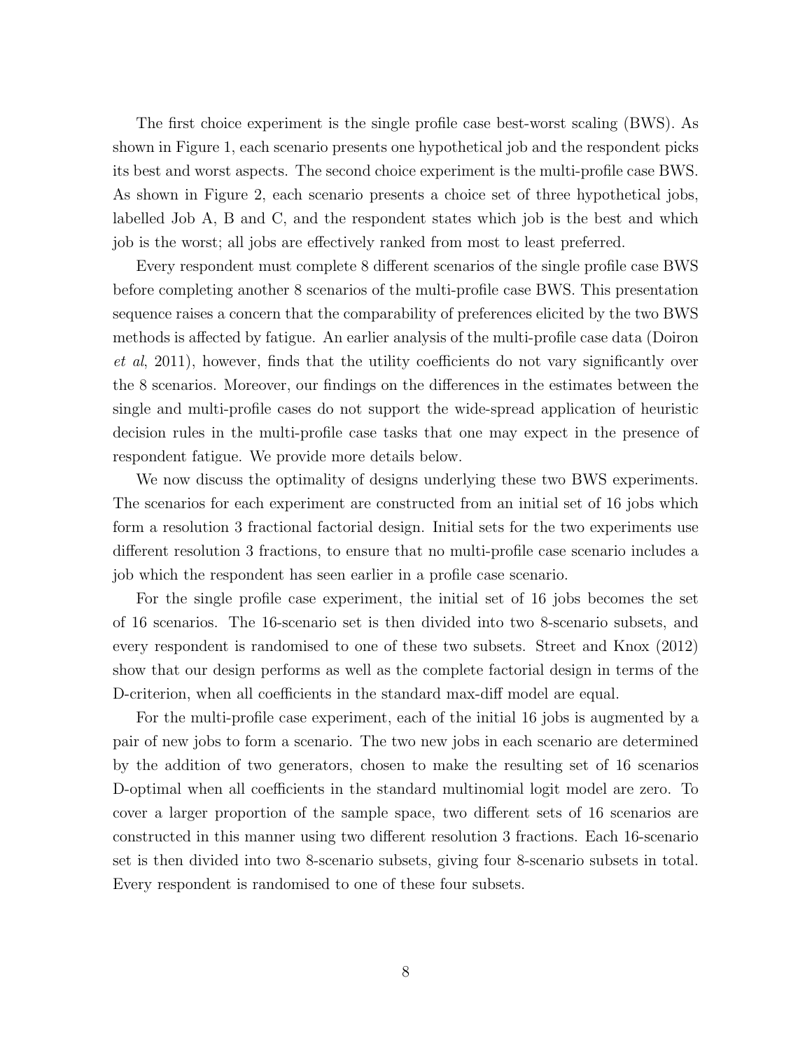The first choice experiment is the single profile case best-worst scaling (BWS). As shown in Figure 1, each scenario presents one hypothetical job and the respondent picks its best and worst aspects. The second choice experiment is the multi-profile case BWS. As shown in Figure 2, each scenario presents a choice set of three hypothetical jobs, labelled Job A, B and C, and the respondent states which job is the best and which job is the worst; all jobs are effectively ranked from most to least preferred.

Every respondent must complete 8 different scenarios of the single profile case BWS before completing another 8 scenarios of the multi-profile case BWS. This presentation sequence raises a concern that the comparability of preferences elicited by the two BWS methods is affected by fatigue. An earlier analysis of the multi-profile case data (Doiron et al, 2011), however, finds that the utility coefficients do not vary significantly over the 8 scenarios. Moreover, our findings on the differences in the estimates between the single and multi-profile cases do not support the wide-spread application of heuristic decision rules in the multi-profile case tasks that one may expect in the presence of respondent fatigue. We provide more details below.

We now discuss the optimality of designs underlying these two BWS experiments. The scenarios for each experiment are constructed from an initial set of 16 jobs which form a resolution 3 fractional factorial design. Initial sets for the two experiments use different resolution 3 fractions, to ensure that no multi-profile case scenario includes a job which the respondent has seen earlier in a profile case scenario.

For the single profile case experiment, the initial set of 16 jobs becomes the set of 16 scenarios. The 16-scenario set is then divided into two 8-scenario subsets, and every respondent is randomised to one of these two subsets. Street and Knox (2012) show that our design performs as well as the complete factorial design in terms of the D-criterion, when all coefficients in the standard max-diff model are equal.

For the multi-profile case experiment, each of the initial 16 jobs is augmented by a pair of new jobs to form a scenario. The two new jobs in each scenario are determined by the addition of two generators, chosen to make the resulting set of 16 scenarios D-optimal when all coefficients in the standard multinomial logit model are zero. To cover a larger proportion of the sample space, two different sets of 16 scenarios are constructed in this manner using two different resolution 3 fractions. Each 16-scenario set is then divided into two 8-scenario subsets, giving four 8-scenario subsets in total. Every respondent is randomised to one of these four subsets.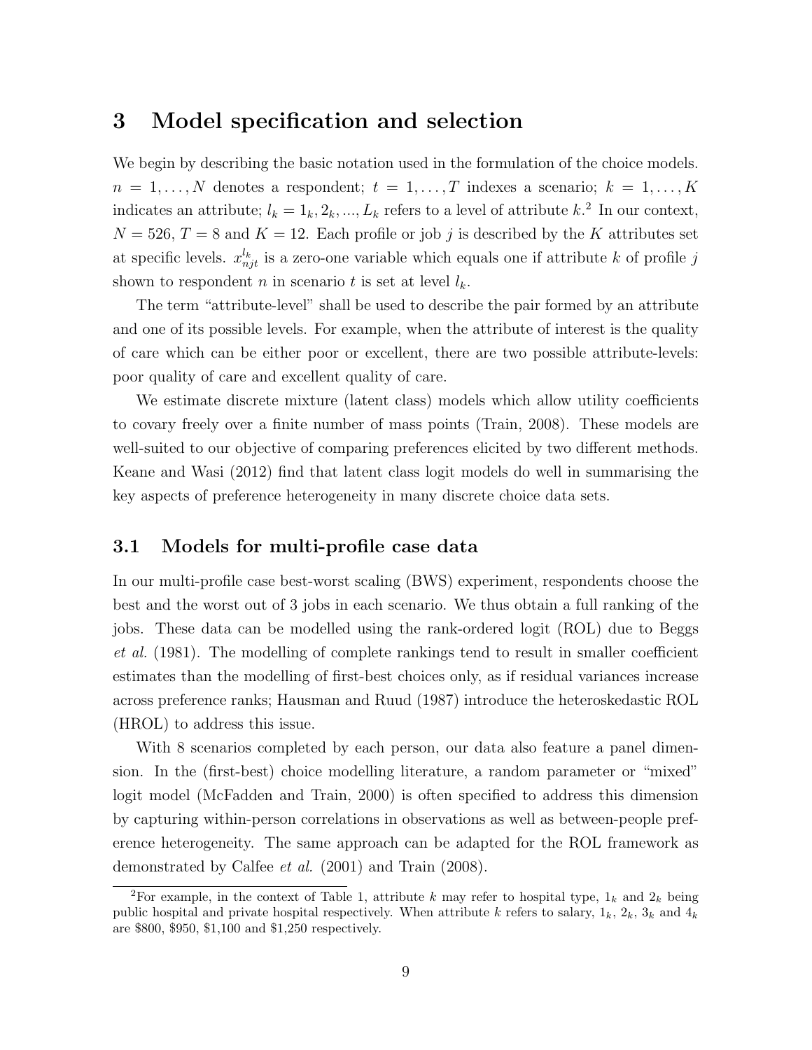# 3 Model specification and selection

We begin by describing the basic notation used in the formulation of the choice models.  $n = 1, \ldots, N$  denotes a respondent;  $t = 1, \ldots, T$  indexes a scenario;  $k = 1, \ldots, K$ indicates an attribute;  $l_k = 1_k, 2_k, ..., L_k$  refers to a level of attribute  $k<sup>2</sup>$ . In our context,  $N = 526$ ,  $T = 8$  and  $K = 12$ . Each profile or job j is described by the K attributes set at specific levels.  $x_{njk}^{l_k}$  is a zero-one variable which equals one if attribute k of profile j shown to respondent n in scenario t is set at level  $l_k$ .

The term "attribute-level" shall be used to describe the pair formed by an attribute and one of its possible levels. For example, when the attribute of interest is the quality of care which can be either poor or excellent, there are two possible attribute-levels: poor quality of care and excellent quality of care.

We estimate discrete mixture (latent class) models which allow utility coefficients to covary freely over a finite number of mass points (Train, 2008). These models are well-suited to our objective of comparing preferences elicited by two different methods. Keane and Wasi (2012) find that latent class logit models do well in summarising the key aspects of preference heterogeneity in many discrete choice data sets.

# 3.1 Models for multi-profile case data

In our multi-profile case best-worst scaling (BWS) experiment, respondents choose the best and the worst out of 3 jobs in each scenario. We thus obtain a full ranking of the jobs. These data can be modelled using the rank-ordered logit (ROL) due to Beggs et al. (1981). The modelling of complete rankings tend to result in smaller coefficient estimates than the modelling of first-best choices only, as if residual variances increase across preference ranks; Hausman and Ruud (1987) introduce the heteroskedastic ROL (HROL) to address this issue.

With 8 scenarios completed by each person, our data also feature a panel dimension. In the (first-best) choice modelling literature, a random parameter or "mixed" logit model (McFadden and Train, 2000) is often specified to address this dimension by capturing within-person correlations in observations as well as between-people preference heterogeneity. The same approach can be adapted for the ROL framework as demonstrated by Calfee et al. (2001) and Train (2008).

<sup>&</sup>lt;sup>2</sup>For example, in the context of Table 1, attribute k may refer to hospital type,  $1_k$  and  $2_k$  being public hospital and private hospital respectively. When attribute k refers to salary,  $1_k$ ,  $2_k$ ,  $3_k$  and  $4_k$ are \$800, \$950, \$1,100 and \$1,250 respectively.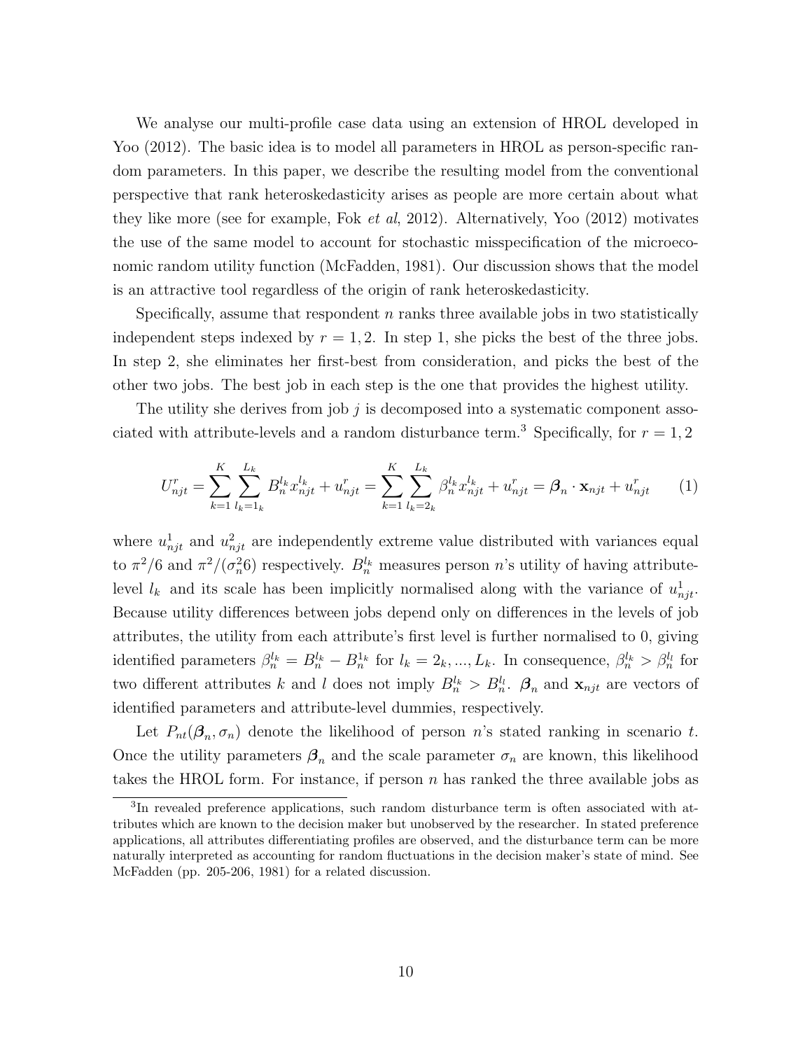We analyse our multi-profile case data using an extension of HROL developed in Yoo (2012). The basic idea is to model all parameters in HROL as person-specific random parameters. In this paper, we describe the resulting model from the conventional perspective that rank heteroskedasticity arises as people are more certain about what they like more (see for example, Fok *et al*, 2012). Alternatively, Yoo  $(2012)$  motivates the use of the same model to account for stochastic misspecification of the microeconomic random utility function (McFadden, 1981). Our discussion shows that the model is an attractive tool regardless of the origin of rank heteroskedasticity.

Specifically, assume that respondent  $n$  ranks three available jobs in two statistically independent steps indexed by  $r = 1, 2$ . In step 1, she picks the best of the three jobs. In step 2, she eliminates her first-best from consideration, and picks the best of the other two jobs. The best job in each step is the one that provides the highest utility.

The utility she derives from job  $j$  is decomposed into a systematic component associated with attribute-levels and a random disturbance term.<sup>3</sup> Specifically, for  $r = 1, 2$ 

$$
U_{njt}^r = \sum_{k=1}^K \sum_{l_k=1}^{L_k} B_n^{l_k} x_{njt}^{l_k} + u_{njt}^r = \sum_{k=1}^K \sum_{l_k=2_k}^{L_k} \beta_n^{l_k} x_{njt}^{l_k} + u_{njt}^r = \beta_n \cdot \mathbf{x}_{njt} + u_{njt}^r \tag{1}
$$

where  $u_{njt}^1$  and  $u_{njt}^2$  are independently extreme value distributed with variances equal to  $\pi^2/6$  and  $\pi^2/(\sigma_n^2 6)$  respectively.  $B_n^{l_k}$  measures person n's utility of having attributelevel  $l_k$  and its scale has been implicitly normalised along with the variance of  $u_{nji}^1$ . Because utility differences between jobs depend only on differences in the levels of job attributes, the utility from each attribute's first level is further normalised to 0, giving identified parameters  $\beta_n^{l_k} = B_n^{l_k} - B_n^{1_k}$  for  $l_k = 2_k, ..., L_k$ . In consequence,  $\beta_n^{l_k} > \beta_n^{l_l}$  for two different attributes k and l does not imply  $B_n^{l_k} > B_n^{l_l}$ .  $\mathcal{B}_n$  and  $\mathbf{x}_{njt}$  are vectors of identified parameters and attribute-level dummies, respectively.

Let  $P_{nt}(\beta_n, \sigma_n)$  denote the likelihood of person n's stated ranking in scenario t. Once the utility parameters  $\beta_n$  and the scale parameter  $\sigma_n$  are known, this likelihood takes the HROL form. For instance, if person  $n$  has ranked the three available jobs as

<sup>&</sup>lt;sup>3</sup>In revealed preference applications, such random disturbance term is often associated with attributes which are known to the decision maker but unobserved by the researcher. In stated preference applications, all attributes differentiating profiles are observed, and the disturbance term can be more naturally interpreted as accounting for random fluctuations in the decision maker's state of mind. See McFadden (pp. 205-206, 1981) for a related discussion.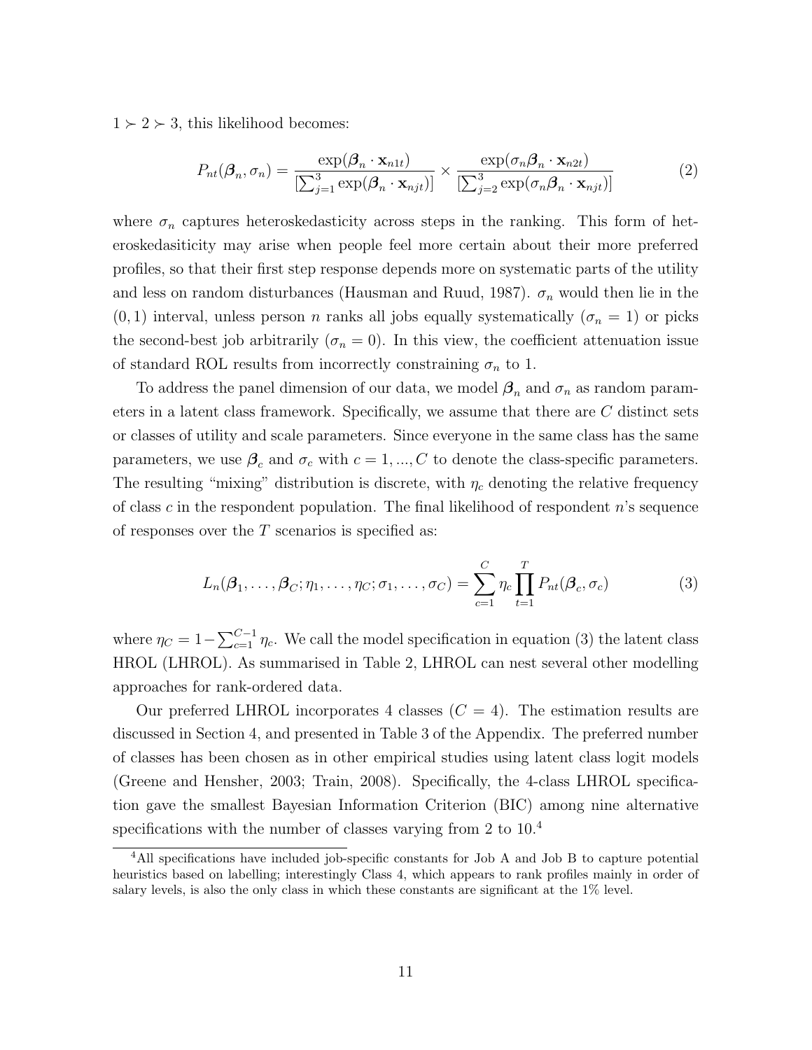$1 \succ 2 \succ 3$ , this likelihood becomes:

$$
P_{nt}(\boldsymbol{\beta}_n, \sigma_n) = \frac{\exp(\boldsymbol{\beta}_n \cdot \mathbf{x}_{n1t})}{\left[\sum_{j=1}^3 \exp(\boldsymbol{\beta}_n \cdot \mathbf{x}_{njt})\right]} \times \frac{\exp(\sigma_n \boldsymbol{\beta}_n \cdot \mathbf{x}_{n2t})}{\left[\sum_{j=2}^3 \exp(\sigma_n \boldsymbol{\beta}_n \cdot \mathbf{x}_{njt})\right]}
$$
(2)

where  $\sigma_n$  captures heteroskedasticity across steps in the ranking. This form of heteroskedasiticity may arise when people feel more certain about their more preferred profiles, so that their first step response depends more on systematic parts of the utility and less on random disturbances (Hausman and Ruud, 1987).  $\sigma_n$  would then lie in the  $(0, 1)$  interval, unless person *n* ranks all jobs equally systematically  $(\sigma_n = 1)$  or picks the second-best job arbitrarily ( $\sigma_n = 0$ ). In this view, the coefficient attenuation issue of standard ROL results from incorrectly constraining  $\sigma_n$  to 1.

To address the panel dimension of our data, we model  $\beta_n$  and  $\sigma_n$  as random parameters in a latent class framework. Specifically, we assume that there are C distinct sets or classes of utility and scale parameters. Since everyone in the same class has the same parameters, we use  $\beta_c$  and  $\sigma_c$  with  $c = 1, ..., C$  to denote the class-specific parameters. The resulting "mixing" distribution is discrete, with  $\eta_c$  denoting the relative frequency of class c in the respondent population. The final likelihood of respondent  $n$ 's sequence of responses over the  $T$  scenarios is specified as:

$$
L_n(\boldsymbol{\beta}_1,\ldots,\boldsymbol{\beta}_C;\eta_1,\ldots,\eta_C;\sigma_1,\ldots,\sigma_C) = \sum_{c=1}^C \eta_c \prod_{t=1}^T P_{nt}(\boldsymbol{\beta}_c,\sigma_c)
$$
(3)

where  $\eta_C = 1 - \sum_{c=1}^{C-1} \eta_c$ . We call the model specification in equation (3) the latent class HROL (LHROL). As summarised in Table 2, LHROL can nest several other modelling approaches for rank-ordered data.

Our preferred LHROL incorporates 4 classes  $(C = 4)$ . The estimation results are discussed in Section 4, and presented in Table 3 of the Appendix. The preferred number of classes has been chosen as in other empirical studies using latent class logit models (Greene and Hensher, 2003; Train, 2008). Specifically, the 4-class LHROL specification gave the smallest Bayesian Information Criterion (BIC) among nine alternative specifications with the number of classes varying from 2 to  $10<sup>4</sup>$ 

<sup>4</sup>All specifications have included job-specific constants for Job A and Job B to capture potential heuristics based on labelling; interestingly Class 4, which appears to rank profiles mainly in order of salary levels, is also the only class in which these constants are significant at the 1% level.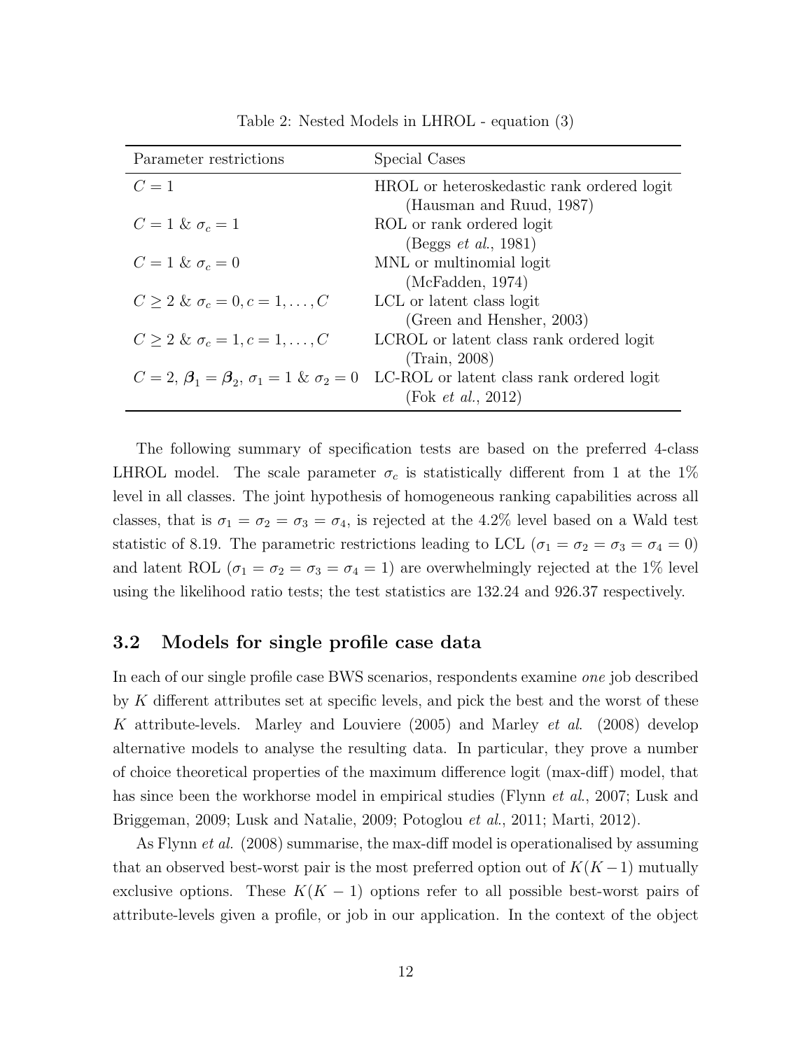| Parameter restrictions                                   | Special Cases                              |
|----------------------------------------------------------|--------------------------------------------|
| $C=1$                                                    | HROL or heteroskedastic rank ordered logit |
|                                                          | (Hausman and Ruud, 1987)                   |
| $C=1 \& \sigma_c=1$                                      | ROL or rank ordered logit                  |
|                                                          | (Beggs et al., 1981)                       |
| $C=1 \& \sigma_c=0$                                      | MNL or multinomial logit                   |
|                                                          | (McFadden, 1974)                           |
| $C > 2 \& \sigma_c = 0, c = 1, \ldots, C$                | LCL or latent class logit                  |
|                                                          | (Green and Hensher, 2003)                  |
| $C > 2 \& \sigma_c = 1, c = 1, \ldots, C$                | LCROL or latent class rank ordered logit   |
|                                                          | (Train, 2008)                              |
| $C = 2, \beta_1 = \beta_2, \sigma_1 = 1 \& \sigma_2 = 0$ | LC-ROL or latent class rank ordered logit  |
|                                                          | (Fok <i>et al.</i> , 2012)                 |

Table 2: Nested Models in LHROL - equation (3)

The following summary of specification tests are based on the preferred 4-class LHROL model. The scale parameter  $\sigma_c$  is statistically different from 1 at the 1% level in all classes. The joint hypothesis of homogeneous ranking capabilities across all classes, that is  $\sigma_1 = \sigma_2 = \sigma_3 = \sigma_4$ , is rejected at the 4.2% level based on a Wald test statistic of 8.19. The parametric restrictions leading to LCL ( $\sigma_1 = \sigma_2 = \sigma_3 = \sigma_4 = 0$ ) and latent ROL ( $\sigma_1 = \sigma_2 = \sigma_3 = \sigma_4 = 1$ ) are overwhelmingly rejected at the 1% level using the likelihood ratio tests; the test statistics are 132.24 and 926.37 respectively.

# 3.2 Models for single profile case data

In each of our single profile case BWS scenarios, respondents examine one job described by  $K$  different attributes set at specific levels, and pick the best and the worst of these K attribute-levels. Marley and Louviere (2005) and Marley et al. (2008) develop alternative models to analyse the resulting data. In particular, they prove a number of choice theoretical properties of the maximum difference logit (max-diff) model, that has since been the workhorse model in empirical studies (Flynn *et al.*, 2007; Lusk and Briggeman, 2009; Lusk and Natalie, 2009; Potoglou et al., 2011; Marti, 2012).

As Flynn *et al.* (2008) summarise, the max-diff model is operationalised by assuming that an observed best-worst pair is the most preferred option out of  $K(K-1)$  mutually exclusive options. These  $K(K-1)$  options refer to all possible best-worst pairs of attribute-levels given a profile, or job in our application. In the context of the object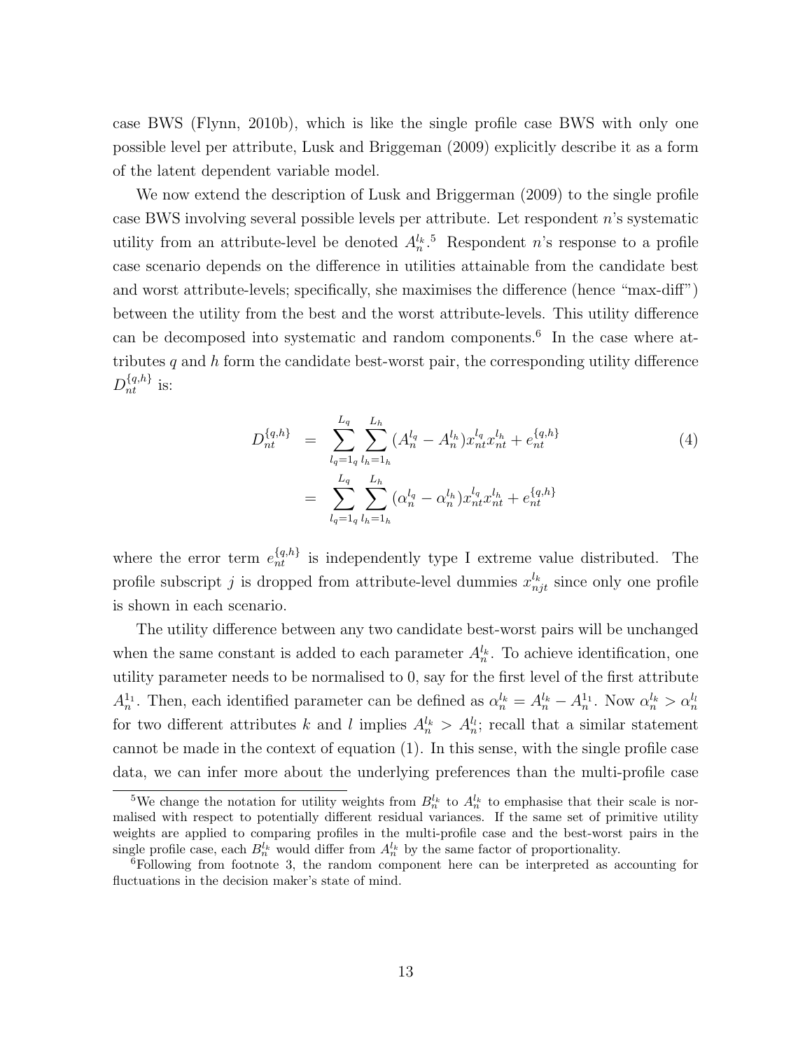case BWS (Flynn, 2010b), which is like the single profile case BWS with only one possible level per attribute, Lusk and Briggeman (2009) explicitly describe it as a form of the latent dependent variable model.

We now extend the description of Lusk and Briggerman (2009) to the single profile case BWS involving several possible levels per attribute. Let respondent n's systematic utility from an attribute-level be denoted  $A_n^{l_k,5}$  Respondent n's response to a profile case scenario depends on the difference in utilities attainable from the candidate best and worst attribute-levels; specifically, she maximises the difference (hence "max-diff") between the utility from the best and the worst attribute-levels. This utility difference can be decomposed into systematic and random components.<sup>6</sup> In the case where attributes  $q$  and  $h$  form the candidate best-worst pair, the corresponding utility difference  $D_{nt}^{\{q,h\}}$  is:

$$
D_{nt}^{\{q,h\}} = \sum_{l_q=1_q}^{L_q} \sum_{l_h=1_h}^{L_h} (A_n^{l_q} - A_n^{l_h}) x_{nt}^{l_q} x_{nt}^{l_h} + e_{nt}^{\{q,h\}}
$$
  

$$
= \sum_{l_q=1_q}^{L_q} \sum_{l_h=1_h}^{L_h} (\alpha_n^{l_q} - \alpha_n^{l_h}) x_{nt}^{l_q} x_{nt}^{l_h} + e_{nt}^{\{q,h\}}
$$
(4)

where the error term  $e_{nt}^{\{q,h\}}$  is independently type I extreme value distributed. The profile subscript j is dropped from attribute-level dummies  $x_{njt}^{l_k}$  since only one profile is shown in each scenario.

The utility difference between any two candidate best-worst pairs will be unchanged when the same constant is added to each parameter  $A_n^{l_k}$ . To achieve identification, one utility parameter needs to be normalised to 0, say for the first level of the first attribute  $A_n^{1_1}$ . Then, each identified parameter can be defined as  $\alpha_n^{l_k} = A_n^{l_k} - A_n^{1_1}$ . Now  $\alpha_n^{l_k} > \alpha_n^{l_k}$ for two different attributes k and l implies  $A_n^{l_k} > A_n^{l_l}$ ; recall that a similar statement cannot be made in the context of equation (1). In this sense, with the single profile case data, we can infer more about the underlying preferences than the multi-profile case

<sup>&</sup>lt;sup>5</sup>We change the notation for utility weights from  $B_n^{l_k}$  to  $A_n^{l_k}$  to emphasise that their scale is normalised with respect to potentially different residual variances. If the same set of primitive utility weights are applied to comparing profiles in the multi-profile case and the best-worst pairs in the single profile case, each  $B_n^{l_k}$  would differ from  $A_n^{l_k}$  by the same factor of proportionality.

<sup>6</sup>Following from footnote 3, the random component here can be interpreted as accounting for fluctuations in the decision maker's state of mind.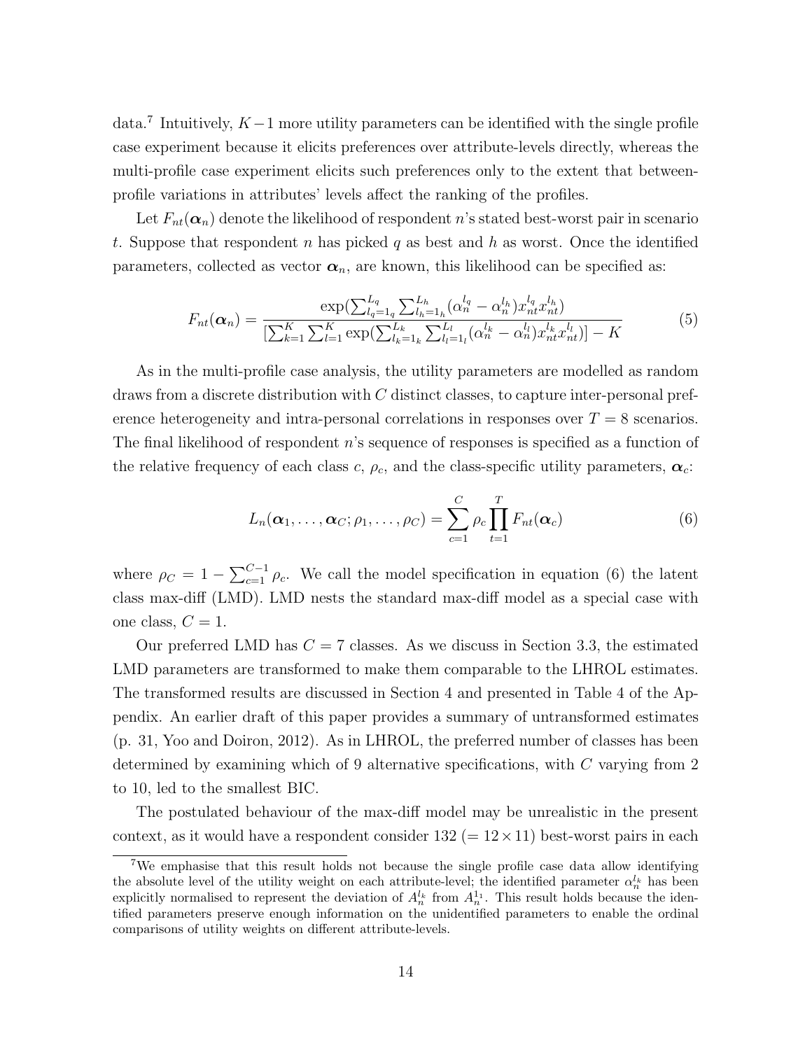data.<sup>7</sup> Intuitively,  $K-1$  more utility parameters can be identified with the single profile case experiment because it elicits preferences over attribute-levels directly, whereas the multi-profile case experiment elicits such preferences only to the extent that betweenprofile variations in attributes' levels affect the ranking of the profiles.

Let  $F_{nt}(\boldsymbol{\alpha}_n)$  denote the likelihood of respondent n's stated best-worst pair in scenario t. Suppose that respondent n has picked q as best and h as worst. Once the identified parameters, collected as vector  $\alpha_n$ , are known, this likelihood can be specified as:

$$
F_{nt}(\alpha_n) = \frac{\exp(\sum_{l_q=1}^{L_q} \sum_{l_h=1}^{L_h} (\alpha_n^{l_q} - \alpha_n^{l_h}) x_{nt}^{l_q} x_{nt}^{l_h})}{[\sum_{k=1}^{K} \sum_{l=1}^{K} \exp(\sum_{l_k=1}^{L_k} \sum_{l_l=1}^{L_l} (\alpha_n^{l_k} - \alpha_n^{l_l}) x_{nt}^{l_k} x_{nt}^{l_l})] - K}
$$
(5)

As in the multi-profile case analysis, the utility parameters are modelled as random draws from a discrete distribution with C distinct classes, to capture inter-personal preference heterogeneity and intra-personal correlations in responses over  $T = 8$  scenarios. The final likelihood of respondent  $n$ 's sequence of responses is specified as a function of the relative frequency of each class c,  $\rho_c$ , and the class-specific utility parameters,  $\alpha_c$ :

$$
L_n(\boldsymbol{\alpha}_1,\ldots,\boldsymbol{\alpha}_C;\rho_1,\ldots,\rho_C)=\sum_{c=1}^C\rho_c\prod_{t=1}^T F_{nt}(\boldsymbol{\alpha}_c)
$$
\n(6)

where  $\rho_C = 1 - \sum_{c=1}^{C-1} \rho_c$ . We call the model specification in equation (6) the latent class max-diff (LMD). LMD nests the standard max-diff model as a special case with one class,  $C = 1$ .

Our preferred LMD has  $C = 7$  classes. As we discuss in Section 3.3, the estimated LMD parameters are transformed to make them comparable to the LHROL estimates. The transformed results are discussed in Section 4 and presented in Table 4 of the Appendix. An earlier draft of this paper provides a summary of untransformed estimates (p. 31, Yoo and Doiron, 2012). As in LHROL, the preferred number of classes has been determined by examining which of 9 alternative specifications, with C varying from 2 to 10, led to the smallest BIC.

The postulated behaviour of the max-diff model may be unrealistic in the present context, as it would have a respondent consider  $132 (= 12 \times 11)$  best-worst pairs in each

<sup>7</sup>We emphasise that this result holds not because the single profile case data allow identifying the absolute level of the utility weight on each attribute-level; the identified parameter  $\alpha_n^{l_k}$  has been explicitly normalised to represent the deviation of  $A_n^{l_k}$  from  $A_n^{1_1}$ . This result holds because the identified parameters preserve enough information on the unidentified parameters to enable the ordinal comparisons of utility weights on different attribute-levels.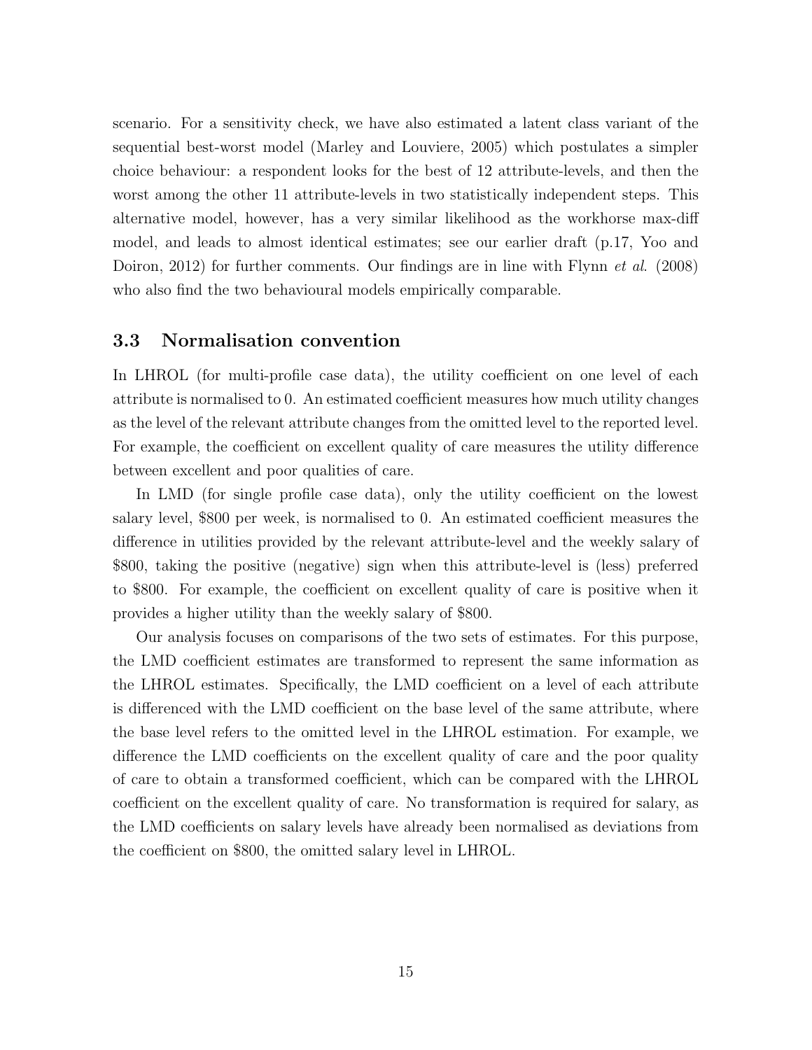scenario. For a sensitivity check, we have also estimated a latent class variant of the sequential best-worst model (Marley and Louviere, 2005) which postulates a simpler choice behaviour: a respondent looks for the best of 12 attribute-levels, and then the worst among the other 11 attribute-levels in two statistically independent steps. This alternative model, however, has a very similar likelihood as the workhorse max-diff model, and leads to almost identical estimates; see our earlier draft (p.17, Yoo and Doiron, 2012) for further comments. Our findings are in line with Flynn *et al.* (2008) who also find the two behavioural models empirically comparable.

### 3.3 Normalisation convention

In LHROL (for multi-profile case data), the utility coefficient on one level of each attribute is normalised to 0. An estimated coefficient measures how much utility changes as the level of the relevant attribute changes from the omitted level to the reported level. For example, the coefficient on excellent quality of care measures the utility difference between excellent and poor qualities of care.

In LMD (for single profile case data), only the utility coefficient on the lowest salary level, \$800 per week, is normalised to 0. An estimated coefficient measures the difference in utilities provided by the relevant attribute-level and the weekly salary of \$800, taking the positive (negative) sign when this attribute-level is (less) preferred to \$800. For example, the coefficient on excellent quality of care is positive when it provides a higher utility than the weekly salary of \$800.

Our analysis focuses on comparisons of the two sets of estimates. For this purpose, the LMD coefficient estimates are transformed to represent the same information as the LHROL estimates. Specifically, the LMD coefficient on a level of each attribute is differenced with the LMD coefficient on the base level of the same attribute, where the base level refers to the omitted level in the LHROL estimation. For example, we difference the LMD coefficients on the excellent quality of care and the poor quality of care to obtain a transformed coefficient, which can be compared with the LHROL coefficient on the excellent quality of care. No transformation is required for salary, as the LMD coefficients on salary levels have already been normalised as deviations from the coefficient on \$800, the omitted salary level in LHROL.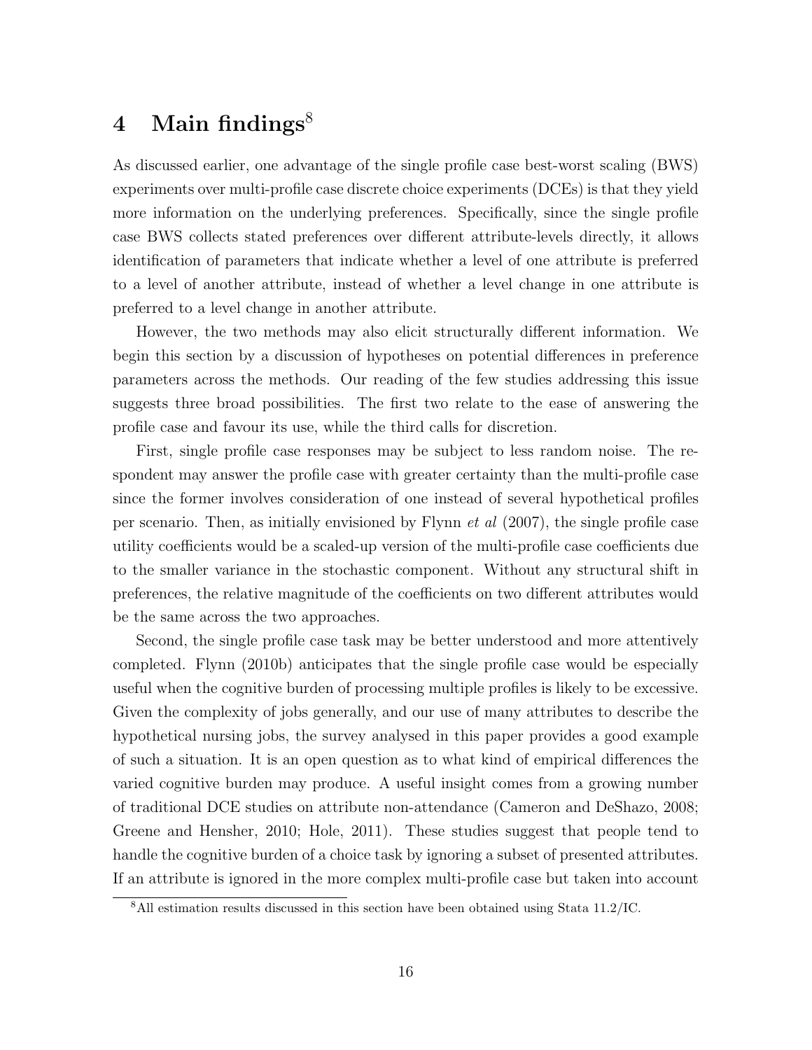# 4 Main findings<sup>8</sup>

As discussed earlier, one advantage of the single profile case best-worst scaling (BWS) experiments over multi-profile case discrete choice experiments (DCEs) is that they yield more information on the underlying preferences. Specifically, since the single profile case BWS collects stated preferences over different attribute-levels directly, it allows identification of parameters that indicate whether a level of one attribute is preferred to a level of another attribute, instead of whether a level change in one attribute is preferred to a level change in another attribute.

However, the two methods may also elicit structurally different information. We begin this section by a discussion of hypotheses on potential differences in preference parameters across the methods. Our reading of the few studies addressing this issue suggests three broad possibilities. The first two relate to the ease of answering the profile case and favour its use, while the third calls for discretion.

First, single profile case responses may be subject to less random noise. The respondent may answer the profile case with greater certainty than the multi-profile case since the former involves consideration of one instead of several hypothetical profiles per scenario. Then, as initially envisioned by Flynn  $et al$  (2007), the single profile case utility coefficients would be a scaled-up version of the multi-profile case coefficients due to the smaller variance in the stochastic component. Without any structural shift in preferences, the relative magnitude of the coefficients on two different attributes would be the same across the two approaches.

Second, the single profile case task may be better understood and more attentively completed. Flynn (2010b) anticipates that the single profile case would be especially useful when the cognitive burden of processing multiple profiles is likely to be excessive. Given the complexity of jobs generally, and our use of many attributes to describe the hypothetical nursing jobs, the survey analysed in this paper provides a good example of such a situation. It is an open question as to what kind of empirical differences the varied cognitive burden may produce. A useful insight comes from a growing number of traditional DCE studies on attribute non-attendance (Cameron and DeShazo, 2008; Greene and Hensher, 2010; Hole, 2011). These studies suggest that people tend to handle the cognitive burden of a choice task by ignoring a subset of presented attributes. If an attribute is ignored in the more complex multi-profile case but taken into account

<sup>8</sup>All estimation results discussed in this section have been obtained using Stata 11.2/IC.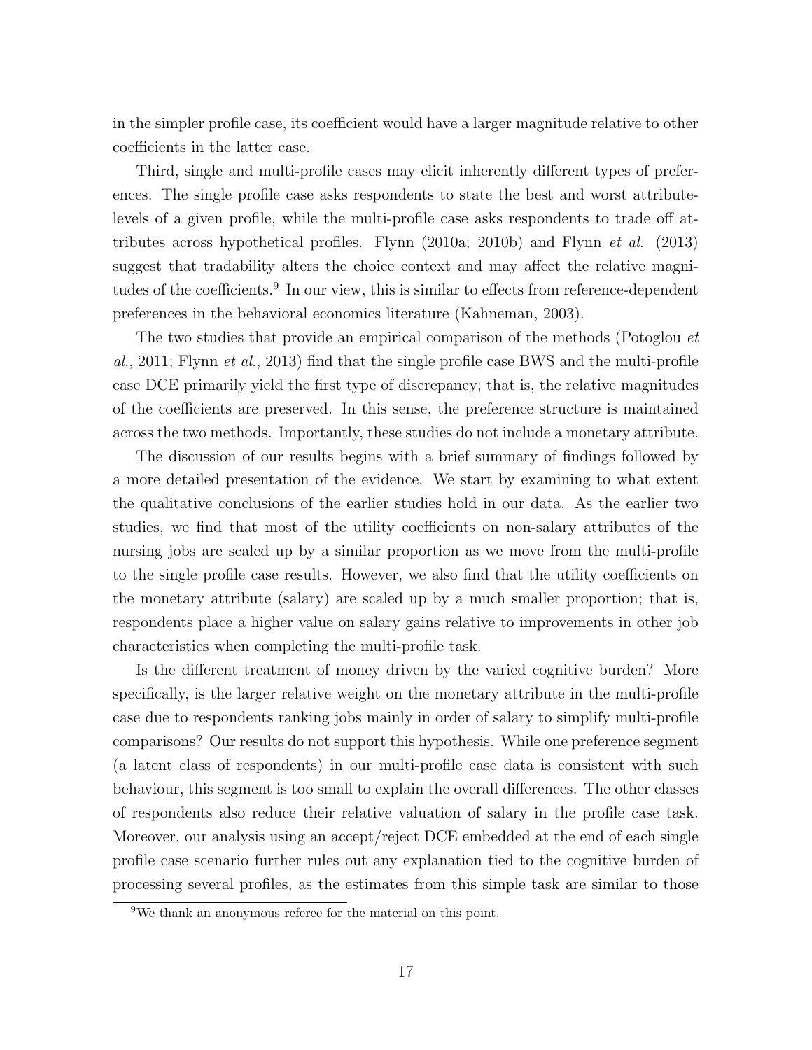in the simpler profile case, its coefficient would have a larger magnitude relative to other coefficients in the latter case.

Third, single and multi-profile cases may elicit inherently different types of preferences. The single profile case asks respondents to state the best and worst attributelevels of a given profile, while the multi-profile case asks respondents to trade off attributes across hypothetical profiles. Flynn (2010a; 2010b) and Flynn et al. (2013) suggest that tradability alters the choice context and may affect the relative magnitudes of the coefficients.<sup>9</sup> In our view, this is similar to effects from reference-dependent preferences in the behavioral economics literature (Kahneman, 2003).

The two studies that provide an empirical comparison of the methods (Potoglou et  $al, 2011$ ; Flynn *et al.*, 2013) find that the single profile case BWS and the multi-profile case DCE primarily yield the first type of discrepancy; that is, the relative magnitudes of the coefficients are preserved. In this sense, the preference structure is maintained across the two methods. Importantly, these studies do not include a monetary attribute.

The discussion of our results begins with a brief summary of findings followed by a more detailed presentation of the evidence. We start by examining to what extent the qualitative conclusions of the earlier studies hold in our data. As the earlier two studies, we find that most of the utility coefficients on non-salary attributes of the nursing jobs are scaled up by a similar proportion as we move from the multi-profile to the single profile case results. However, we also find that the utility coefficients on the monetary attribute (salary) are scaled up by a much smaller proportion; that is, respondents place a higher value on salary gains relative to improvements in other job characteristics when completing the multi-profile task.

Is the different treatment of money driven by the varied cognitive burden? More specifically, is the larger relative weight on the monetary attribute in the multi-profile case due to respondents ranking jobs mainly in order of salary to simplify multi-profile comparisons? Our results do not support this hypothesis. While one preference segment (a latent class of respondents) in our multi-profile case data is consistent with such behaviour, this segment is too small to explain the overall differences. The other classes of respondents also reduce their relative valuation of salary in the profile case task. Moreover, our analysis using an accept/reject DCE embedded at the end of each single profile case scenario further rules out any explanation tied to the cognitive burden of processing several profiles, as the estimates from this simple task are similar to those

<sup>9</sup>We thank an anonymous referee for the material on this point.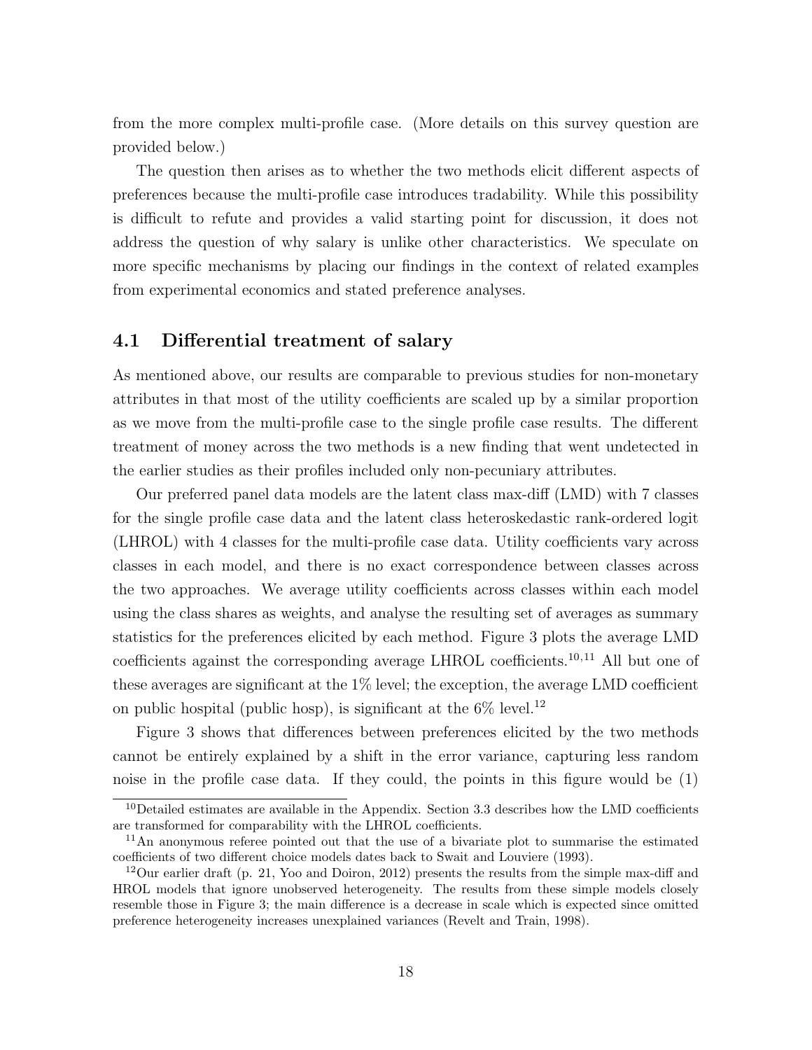from the more complex multi-profile case. (More details on this survey question are provided below.)

The question then arises as to whether the two methods elicit different aspects of preferences because the multi-profile case introduces tradability. While this possibility is difficult to refute and provides a valid starting point for discussion, it does not address the question of why salary is unlike other characteristics. We speculate on more specific mechanisms by placing our findings in the context of related examples from experimental economics and stated preference analyses.

# 4.1 Differential treatment of salary

As mentioned above, our results are comparable to previous studies for non-monetary attributes in that most of the utility coefficients are scaled up by a similar proportion as we move from the multi-profile case to the single profile case results. The different treatment of money across the two methods is a new finding that went undetected in the earlier studies as their profiles included only non-pecuniary attributes.

Our preferred panel data models are the latent class max-diff (LMD) with 7 classes for the single profile case data and the latent class heteroskedastic rank-ordered logit (LHROL) with 4 classes for the multi-profile case data. Utility coefficients vary across classes in each model, and there is no exact correspondence between classes across the two approaches. We average utility coefficients across classes within each model using the class shares as weights, and analyse the resulting set of averages as summary statistics for the preferences elicited by each method. Figure 3 plots the average LMD coefficients against the corresponding average LHROL coefficients.<sup>10</sup>,<sup>11</sup> All but one of these averages are significant at the  $1\%$  level; the exception, the average LMD coefficient on public hospital (public hosp), is significant at the  $6\%$  level.<sup>12</sup>

Figure 3 shows that differences between preferences elicited by the two methods cannot be entirely explained by a shift in the error variance, capturing less random noise in the profile case data. If they could, the points in this figure would be (1)

<sup>&</sup>lt;sup>10</sup>Detailed estimates are available in the Appendix. Section 3.3 describes how the LMD coefficients are transformed for comparability with the LHROL coefficients.

 $11$ An anonymous referee pointed out that the use of a bivariate plot to summarise the estimated coefficients of two different choice models dates back to Swait and Louviere (1993).

<sup>&</sup>lt;sup>12</sup>Our earlier draft (p. 21, Yoo and Doiron, 2012) presents the results from the simple max-diff and HROL models that ignore unobserved heterogeneity. The results from these simple models closely resemble those in Figure 3; the main difference is a decrease in scale which is expected since omitted preference heterogeneity increases unexplained variances (Revelt and Train, 1998).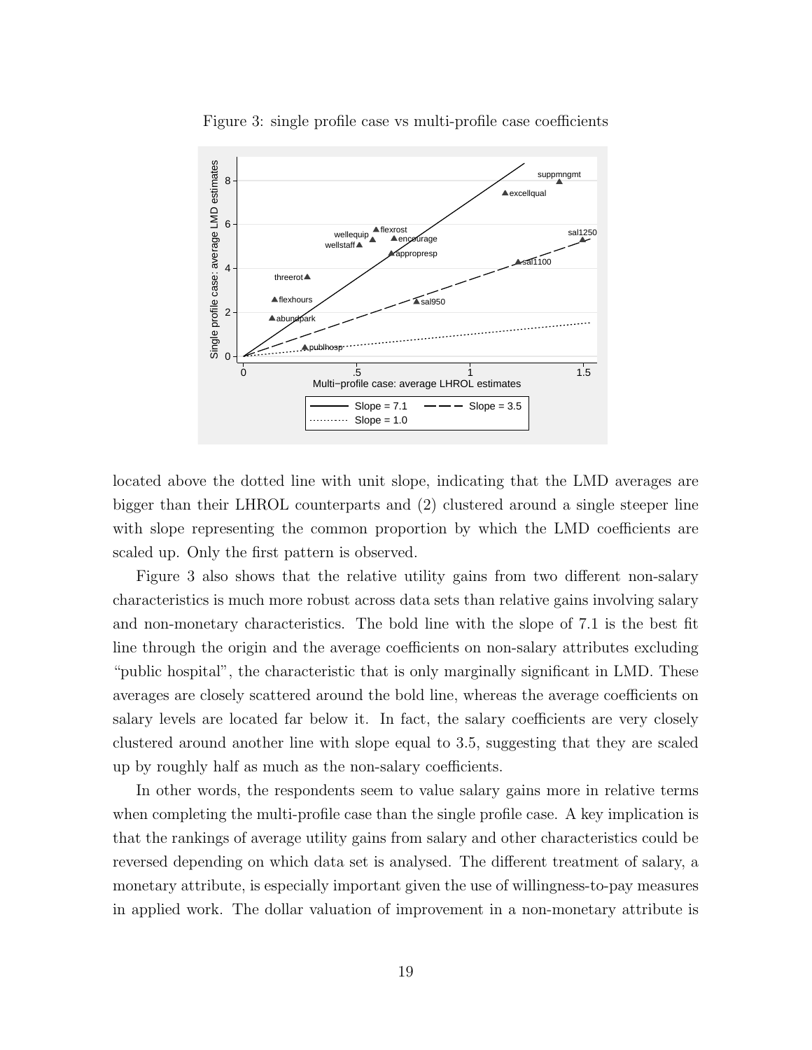

Figure 3: single profile case vs multi-profile case coefficients

located above the dotted line with unit slope, indicating that the LMD averages are bigger than their LHROL counterparts and (2) clustered around a single steeper line with slope representing the common proportion by which the LMD coefficients are scaled up. Only the first pattern is observed.

Figure 3 also shows that the relative utility gains from two different non-salary characteristics is much more robust across data sets than relative gains involving salary and non-monetary characteristics. The bold line with the slope of 7.1 is the best fit line through the origin and the average coefficients on non-salary attributes excluding "public hospital", the characteristic that is only marginally significant in LMD. These averages are closely scattered around the bold line, whereas the average coefficients on salary levels are located far below it. In fact, the salary coefficients are very closely clustered around another line with slope equal to 3.5, suggesting that they are scaled up by roughly half as much as the non-salary coefficients.

In other words, the respondents seem to value salary gains more in relative terms when completing the multi-profile case than the single profile case. A key implication is that the rankings of average utility gains from salary and other characteristics could be reversed depending on which data set is analysed. The different treatment of salary, a monetary attribute, is especially important given the use of willingness-to-pay measures in applied work. The dollar valuation of improvement in a non-monetary attribute is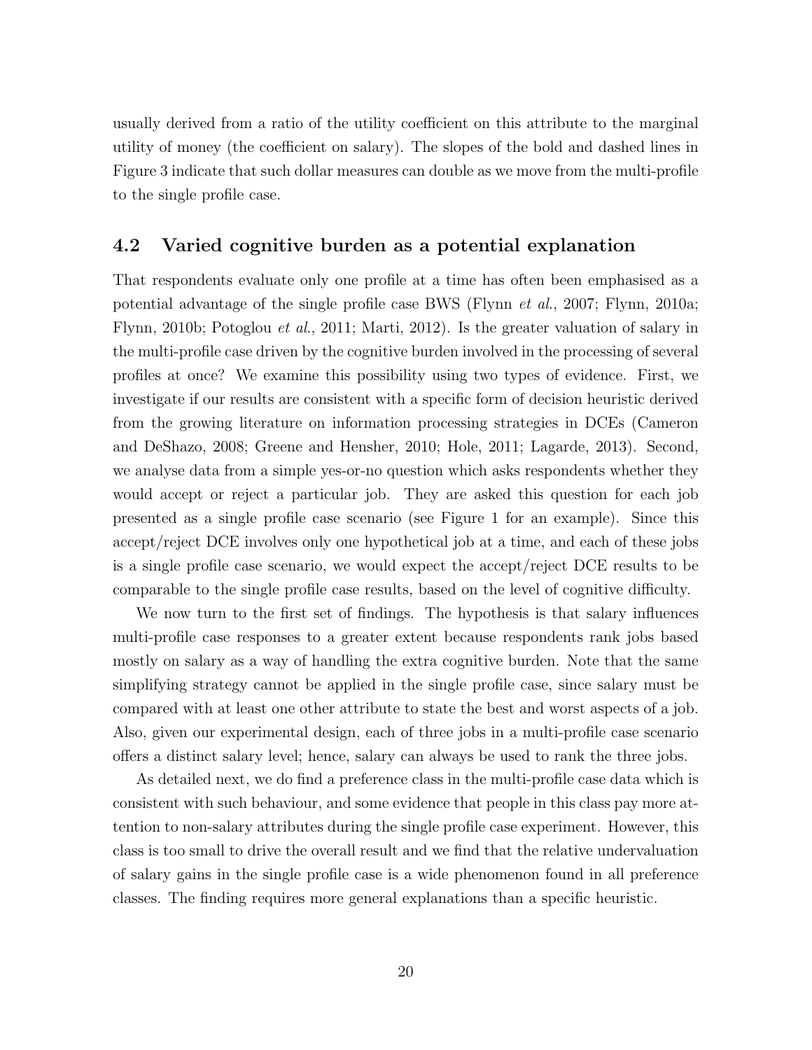usually derived from a ratio of the utility coefficient on this attribute to the marginal utility of money (the coefficient on salary). The slopes of the bold and dashed lines in Figure 3 indicate that such dollar measures can double as we move from the multi-profile to the single profile case.

# 4.2 Varied cognitive burden as a potential explanation

That respondents evaluate only one profile at a time has often been emphasised as a potential advantage of the single profile case BWS (Flynn et al., 2007; Flynn, 2010a; Flynn, 2010b; Potoglou et al., 2011; Marti, 2012). Is the greater valuation of salary in the multi-profile case driven by the cognitive burden involved in the processing of several profiles at once? We examine this possibility using two types of evidence. First, we investigate if our results are consistent with a specific form of decision heuristic derived from the growing literature on information processing strategies in DCEs (Cameron and DeShazo, 2008; Greene and Hensher, 2010; Hole, 2011; Lagarde, 2013). Second, we analyse data from a simple yes-or-no question which asks respondents whether they would accept or reject a particular job. They are asked this question for each job presented as a single profile case scenario (see Figure 1 for an example). Since this accept/reject DCE involves only one hypothetical job at a time, and each of these jobs is a single profile case scenario, we would expect the accept/reject DCE results to be comparable to the single profile case results, based on the level of cognitive difficulty.

We now turn to the first set of findings. The hypothesis is that salary influences multi-profile case responses to a greater extent because respondents rank jobs based mostly on salary as a way of handling the extra cognitive burden. Note that the same simplifying strategy cannot be applied in the single profile case, since salary must be compared with at least one other attribute to state the best and worst aspects of a job. Also, given our experimental design, each of three jobs in a multi-profile case scenario offers a distinct salary level; hence, salary can always be used to rank the three jobs.

As detailed next, we do find a preference class in the multi-profile case data which is consistent with such behaviour, and some evidence that people in this class pay more attention to non-salary attributes during the single profile case experiment. However, this class is too small to drive the overall result and we find that the relative undervaluation of salary gains in the single profile case is a wide phenomenon found in all preference classes. The finding requires more general explanations than a specific heuristic.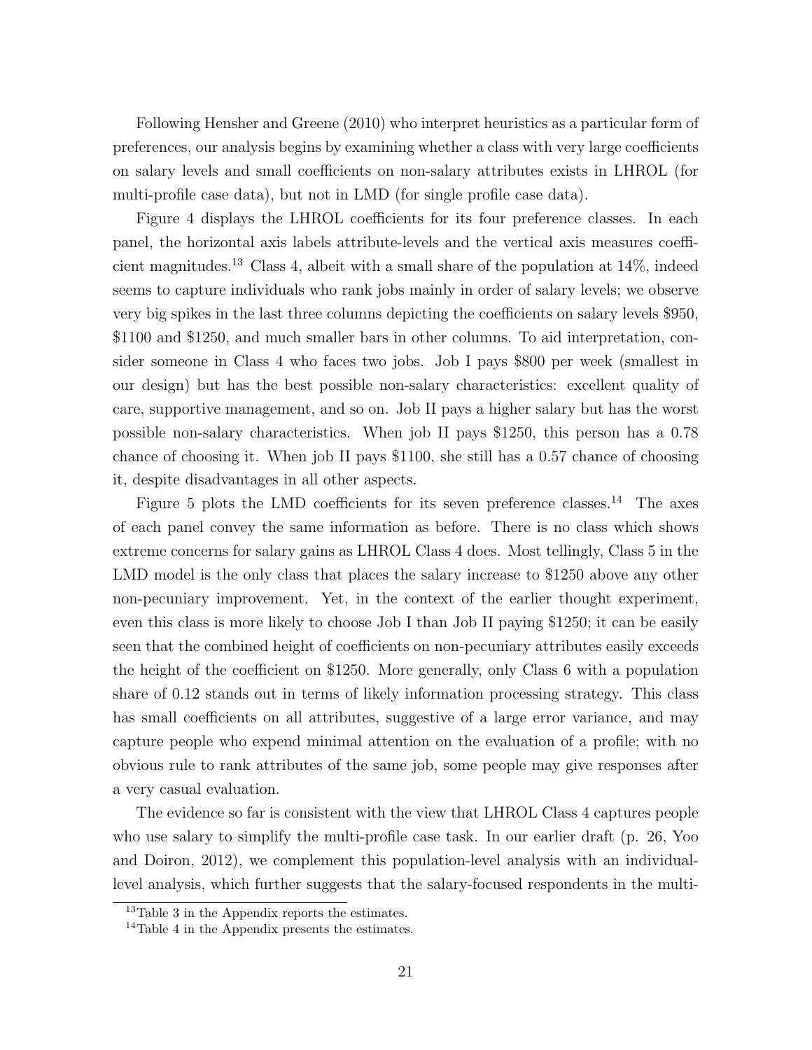Following Hensher and Greene (2010) who interpret heuristics as a particular form of preferences, our analysis begins by examining whether a class with very large coefficients on salary levels and small coefficients on non-salary attributes exists in LHROL (for multi-profile case data), but not in LMD (for single profile case data).

Figure 4 displays the LHROL coefficients for its four preference classes. In each panel, the horizontal axis labels attribute-levels and the vertical axis measures coefficient magnitudes.<sup>13</sup> Class 4, albeit with a small share of the population at  $14\%$ , indeed seems to capture individuals who rank jobs mainly in order of salary levels; we observe very big spikes in the last three columns depicting the coefficients on salary levels \$950, \$1100 and \$1250, and much smaller bars in other columns. To aid interpretation, consider someone in Class 4 who faces two jobs. Job I pays \$800 per week (smallest in our design) but has the best possible non-salary characteristics: excellent quality of care, supportive management, and so on. Job II pays a higher salary but has the worst possible non-salary characteristics. When job II pays \$1250, this person has a 0.78 chance of choosing it. When job II pays \$1100, she still has a 0.57 chance of choosing it, despite disadvantages in all other aspects.

Figure 5 plots the LMD coefficients for its seven preference classes.<sup>14</sup> The axes of each panel convey the same information as before. There is no class which shows extreme concerns for salary gains as LHROL Class 4 does. Most tellingly, Class 5 in the LMD model is the only class that places the salary increase to \$1250 above any other non-pecuniary improvement. Yet, in the context of the earlier thought experiment, even this class is more likely to choose Job I than Job II paying \$1250; it can be easily seen that the combined height of coefficients on non-pecuniary attributes easily exceeds the height of the coefficient on \$1250. More generally, only Class 6 with a population share of 0.12 stands out in terms of likely information processing strategy. This class has small coefficients on all attributes, suggestive of a large error variance, and may capture people who expend minimal attention on the evaluation of a profile; with no obvious rule to rank attributes of the same job, some people may give responses after a very casual evaluation.

The evidence so far is consistent with the view that LHROL Class 4 captures people who use salary to simplify the multi-profile case task. In our earlier draft (p. 26, Yoo and Doiron, 2012), we complement this population-level analysis with an individuallevel analysis, which further suggests that the salary-focused respondents in the multi-

<sup>13</sup>Table 3 in the Appendix reports the estimates.

<sup>&</sup>lt;sup>14</sup>Table 4 in the Appendix presents the estimates.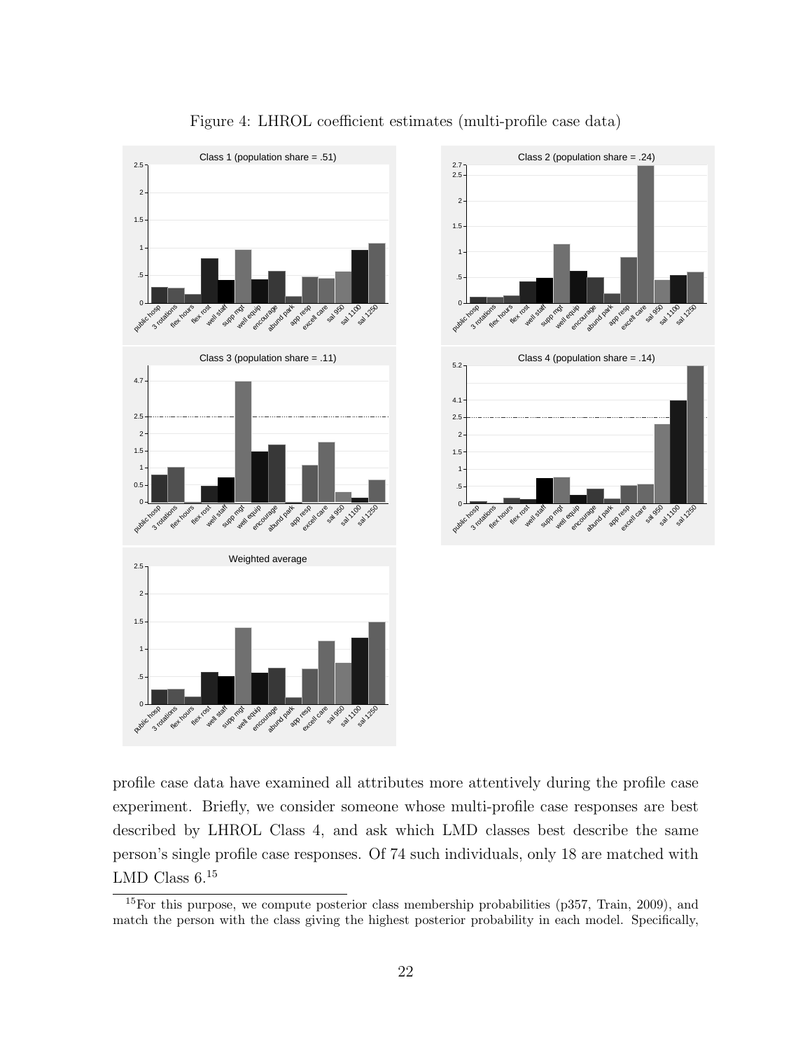

Figure 4: LHROL coefficient estimates (multi-profile case data)

profile case data have examined all attributes more attentively during the profile case experiment. Briefly, we consider someone whose multi-profile case responses are best described by LHROL Class 4, and ask which LMD classes best describe the same person's single profile case responses. Of 74 such individuals, only 18 are matched with LMD Class  $6.^{15}$ 

 $15$ For this purpose, we compute posterior class membership probabilities (p357, Train, 2009), and match the person with the class giving the highest posterior probability in each model. Specifically,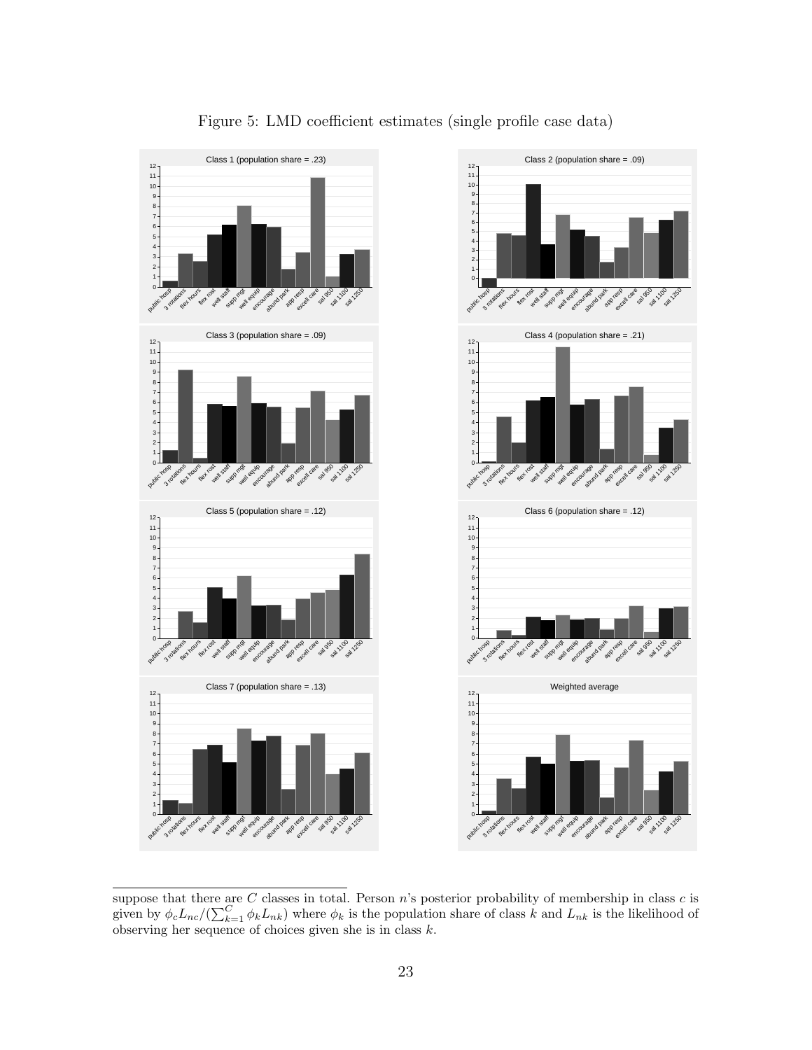

Figure 5: LMD coefficient estimates (single profile case data)

suppose that there are C classes in total. Person n's posterior probability of membership in class c is given by  $\phi_c L_{nc}/(\sum_{k=1}^C \phi_k L_{nk})$  where  $\phi_k$  is the population share of class k and  $L_{nk}$  is the likelihood of observing her sequence of choices given she is in class k.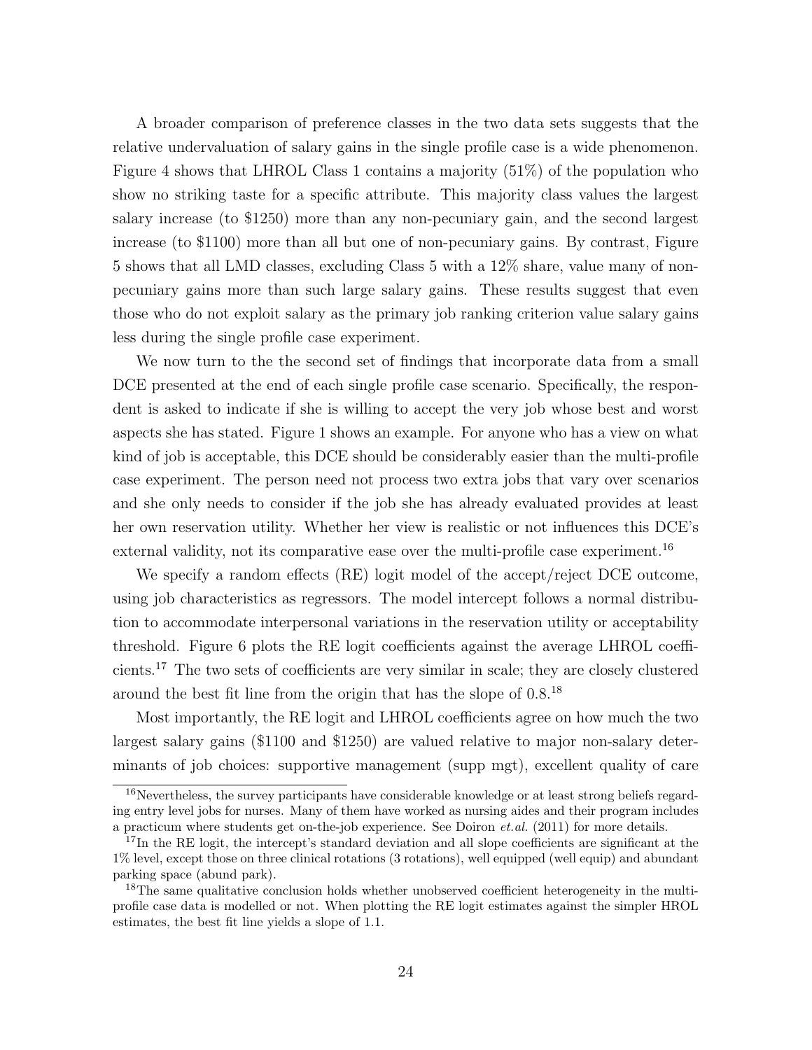A broader comparison of preference classes in the two data sets suggests that the relative undervaluation of salary gains in the single profile case is a wide phenomenon. Figure 4 shows that LHROL Class 1 contains a majority (51%) of the population who show no striking taste for a specific attribute. This majority class values the largest salary increase (to \$1250) more than any non-pecuniary gain, and the second largest increase (to \$1100) more than all but one of non-pecuniary gains. By contrast, Figure 5 shows that all LMD classes, excluding Class 5 with a 12% share, value many of nonpecuniary gains more than such large salary gains. These results suggest that even those who do not exploit salary as the primary job ranking criterion value salary gains less during the single profile case experiment.

We now turn to the the second set of findings that incorporate data from a small DCE presented at the end of each single profile case scenario. Specifically, the respondent is asked to indicate if she is willing to accept the very job whose best and worst aspects she has stated. Figure 1 shows an example. For anyone who has a view on what kind of job is acceptable, this DCE should be considerably easier than the multi-profile case experiment. The person need not process two extra jobs that vary over scenarios and she only needs to consider if the job she has already evaluated provides at least her own reservation utility. Whether her view is realistic or not influences this DCE's external validity, not its comparative ease over the multi-profile case experiment.<sup>16</sup>

We specify a random effects (RE) logit model of the accept/reject DCE outcome, using job characteristics as regressors. The model intercept follows a normal distribution to accommodate interpersonal variations in the reservation utility or acceptability threshold. Figure 6 plots the RE logit coefficients against the average LHROL coefficients.<sup>17</sup> The two sets of coefficients are very similar in scale; they are closely clustered around the best fit line from the origin that has the slope of 0.8.<sup>18</sup>

Most importantly, the RE logit and LHROL coefficients agree on how much the two largest salary gains (\$1100 and \$1250) are valued relative to major non-salary determinants of job choices: supportive management (supp mgt), excellent quality of care

<sup>&</sup>lt;sup>16</sup>Nevertheless, the survey participants have considerable knowledge or at least strong beliefs regarding entry level jobs for nurses. Many of them have worked as nursing aides and their program includes a practicum where students get on-the-job experience. See Doiron  $et. al.$  (2011) for more details.

<sup>&</sup>lt;sup>17</sup>In the RE logit, the intercept's standard deviation and all slope coefficients are significant at the 1% level, except those on three clinical rotations (3 rotations), well equipped (well equip) and abundant parking space (abund park).

<sup>&</sup>lt;sup>18</sup>The same qualitative conclusion holds whether unobserved coefficient heterogeneity in the multiprofile case data is modelled or not. When plotting the RE logit estimates against the simpler HROL estimates, the best fit line yields a slope of 1.1.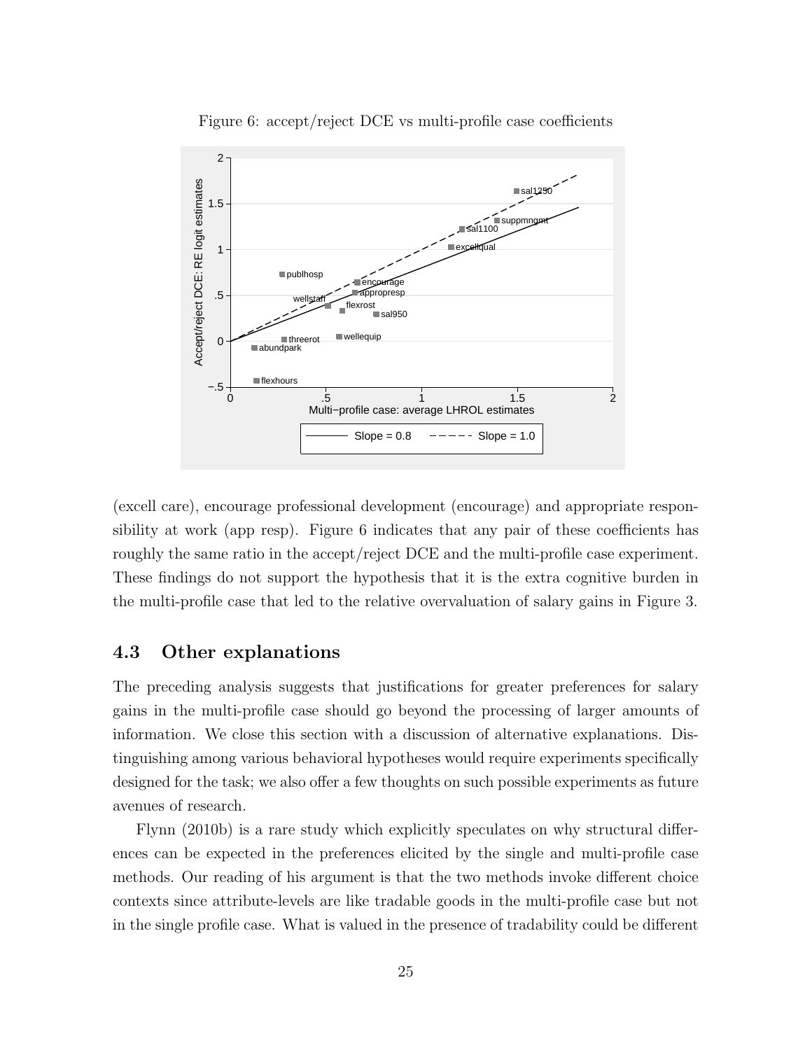

Figure 6: accept/reject DCE vs multi-profile case coefficients

(excell care), encourage professional development (encourage) and appropriate responsibility at work (app resp). Figure 6 indicates that any pair of these coefficients has roughly the same ratio in the accept/reject DCE and the multi-profile case experiment. These findings do not support the hypothesis that it is the extra cognitive burden in the multi-profile case that led to the relative overvaluation of salary gains in Figure 3.

# 4.3 Other explanations

The preceding analysis suggests that justifications for greater preferences for salary gains in the multi-profile case should go beyond the processing of larger amounts of information. We close this section with a discussion of alternative explanations. Distinguishing among various behavioral hypotheses would require experiments specifically designed for the task; we also offer a few thoughts on such possible experiments as future avenues of research.

Flynn (2010b) is a rare study which explicitly speculates on why structural differences can be expected in the preferences elicited by the single and multi-profile case methods. Our reading of his argument is that the two methods invoke different choice contexts since attribute-levels are like tradable goods in the multi-profile case but not in the single profile case. What is valued in the presence of tradability could be different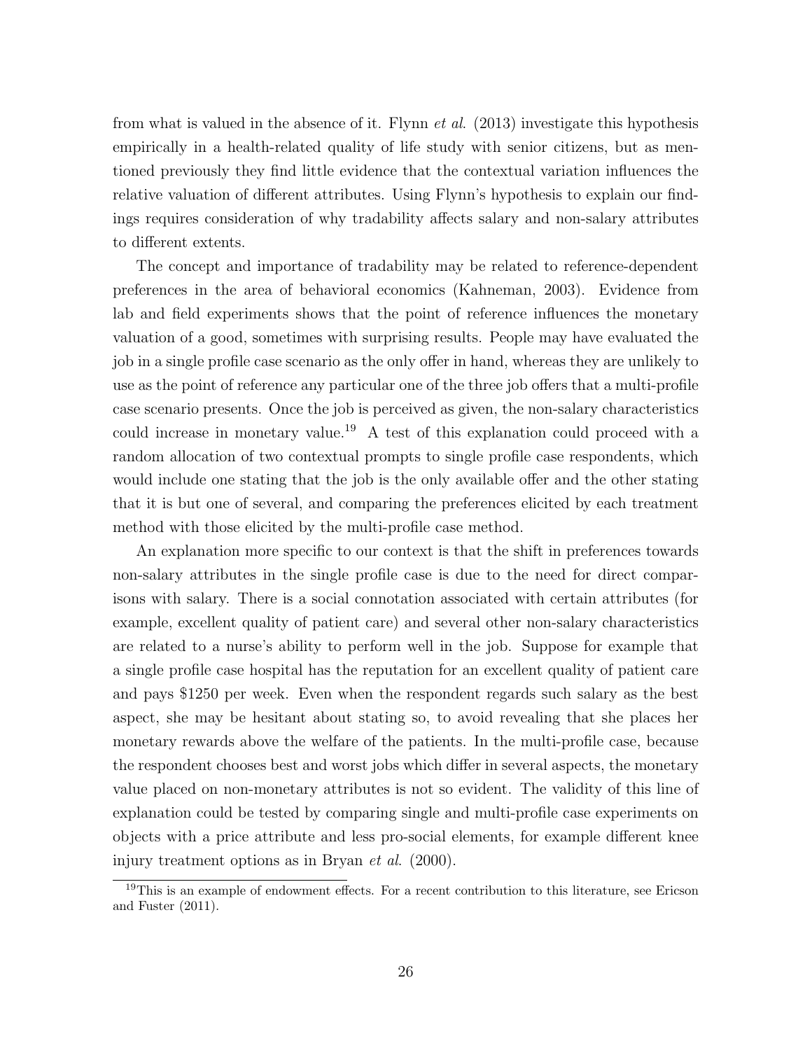from what is valued in the absence of it. Flynn et al. (2013) investigate this hypothesis empirically in a health-related quality of life study with senior citizens, but as mentioned previously they find little evidence that the contextual variation influences the relative valuation of different attributes. Using Flynn's hypothesis to explain our findings requires consideration of why tradability affects salary and non-salary attributes to different extents.

The concept and importance of tradability may be related to reference-dependent preferences in the area of behavioral economics (Kahneman, 2003). Evidence from lab and field experiments shows that the point of reference influences the monetary valuation of a good, sometimes with surprising results. People may have evaluated the job in a single profile case scenario as the only offer in hand, whereas they are unlikely to use as the point of reference any particular one of the three job offers that a multi-profile case scenario presents. Once the job is perceived as given, the non-salary characteristics could increase in monetary value.<sup>19</sup> A test of this explanation could proceed with a random allocation of two contextual prompts to single profile case respondents, which would include one stating that the job is the only available offer and the other stating that it is but one of several, and comparing the preferences elicited by each treatment method with those elicited by the multi-profile case method.

An explanation more specific to our context is that the shift in preferences towards non-salary attributes in the single profile case is due to the need for direct comparisons with salary. There is a social connotation associated with certain attributes (for example, excellent quality of patient care) and several other non-salary characteristics are related to a nurse's ability to perform well in the job. Suppose for example that a single profile case hospital has the reputation for an excellent quality of patient care and pays \$1250 per week. Even when the respondent regards such salary as the best aspect, she may be hesitant about stating so, to avoid revealing that she places her monetary rewards above the welfare of the patients. In the multi-profile case, because the respondent chooses best and worst jobs which differ in several aspects, the monetary value placed on non-monetary attributes is not so evident. The validity of this line of explanation could be tested by comparing single and multi-profile case experiments on objects with a price attribute and less pro-social elements, for example different knee injury treatment options as in Bryan et al. (2000).

<sup>&</sup>lt;sup>19</sup>This is an example of endowment effects. For a recent contribution to this literature, see Ericson and Fuster (2011).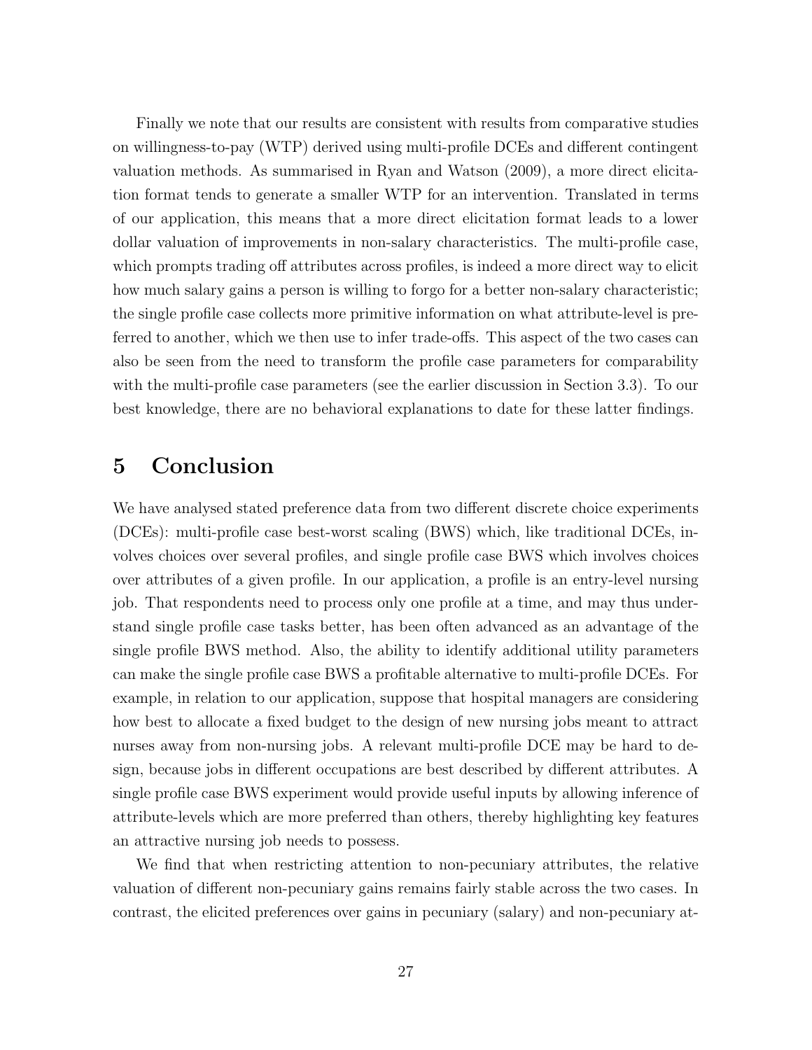Finally we note that our results are consistent with results from comparative studies on willingness-to-pay (WTP) derived using multi-profile DCEs and different contingent valuation methods. As summarised in Ryan and Watson (2009), a more direct elicitation format tends to generate a smaller WTP for an intervention. Translated in terms of our application, this means that a more direct elicitation format leads to a lower dollar valuation of improvements in non-salary characteristics. The multi-profile case, which prompts trading off attributes across profiles, is indeed a more direct way to elicit how much salary gains a person is willing to forgo for a better non-salary characteristic; the single profile case collects more primitive information on what attribute-level is preferred to another, which we then use to infer trade-offs. This aspect of the two cases can also be seen from the need to transform the profile case parameters for comparability with the multi-profile case parameters (see the earlier discussion in Section 3.3). To our best knowledge, there are no behavioral explanations to date for these latter findings.

# 5 Conclusion

We have analysed stated preference data from two different discrete choice experiments (DCEs): multi-profile case best-worst scaling (BWS) which, like traditional DCEs, involves choices over several profiles, and single profile case BWS which involves choices over attributes of a given profile. In our application, a profile is an entry-level nursing job. That respondents need to process only one profile at a time, and may thus understand single profile case tasks better, has been often advanced as an advantage of the single profile BWS method. Also, the ability to identify additional utility parameters can make the single profile case BWS a profitable alternative to multi-profile DCEs. For example, in relation to our application, suppose that hospital managers are considering how best to allocate a fixed budget to the design of new nursing jobs meant to attract nurses away from non-nursing jobs. A relevant multi-profile DCE may be hard to design, because jobs in different occupations are best described by different attributes. A single profile case BWS experiment would provide useful inputs by allowing inference of attribute-levels which are more preferred than others, thereby highlighting key features an attractive nursing job needs to possess.

We find that when restricting attention to non-pecuniary attributes, the relative valuation of different non-pecuniary gains remains fairly stable across the two cases. In contrast, the elicited preferences over gains in pecuniary (salary) and non-pecuniary at-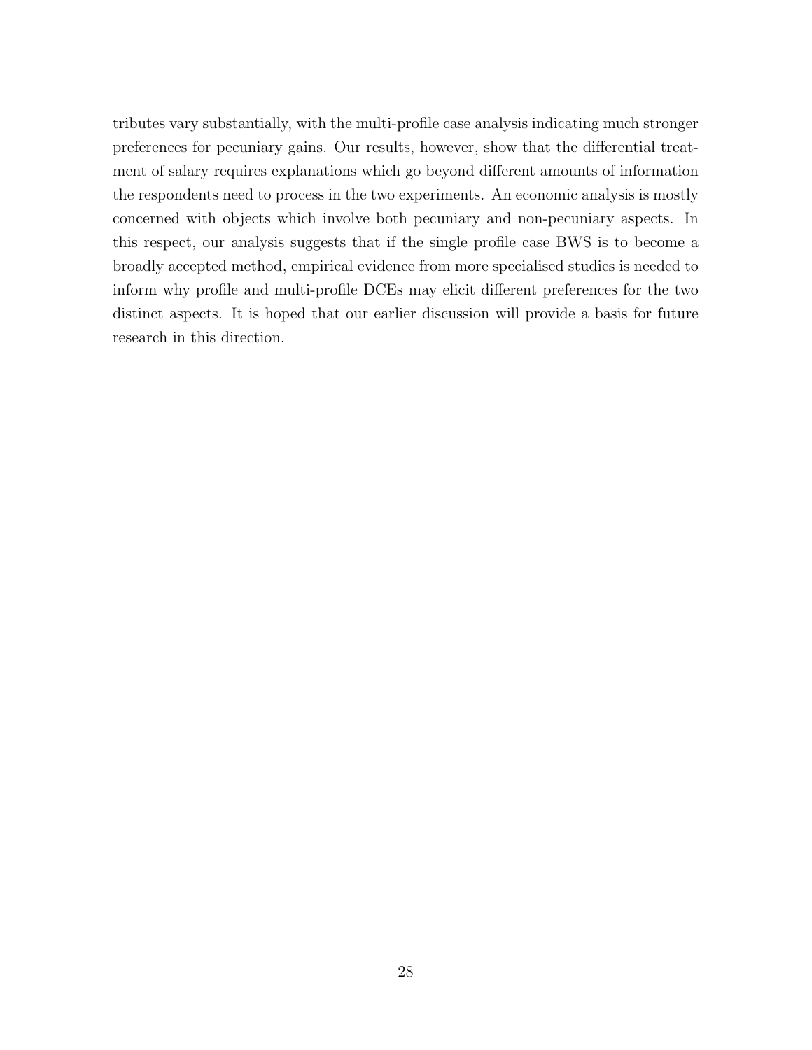tributes vary substantially, with the multi-profile case analysis indicating much stronger preferences for pecuniary gains. Our results, however, show that the differential treatment of salary requires explanations which go beyond different amounts of information the respondents need to process in the two experiments. An economic analysis is mostly concerned with objects which involve both pecuniary and non-pecuniary aspects. In this respect, our analysis suggests that if the single profile case BWS is to become a broadly accepted method, empirical evidence from more specialised studies is needed to inform why profile and multi-profile DCEs may elicit different preferences for the two distinct aspects. It is hoped that our earlier discussion will provide a basis for future research in this direction.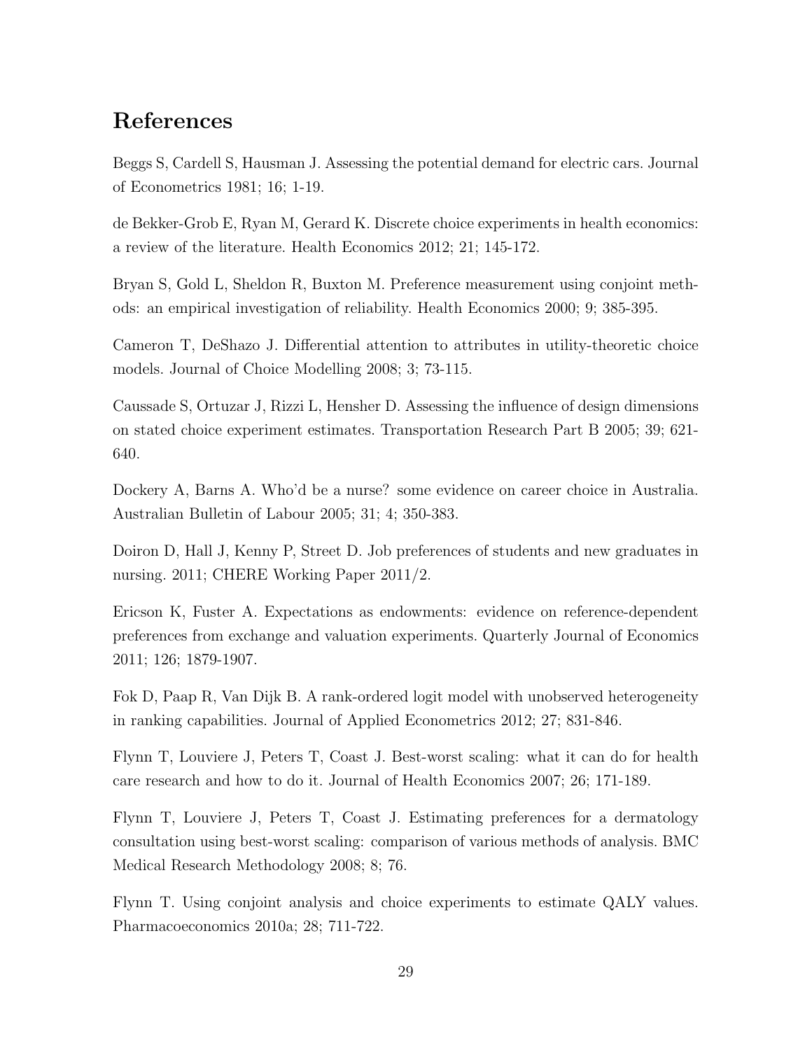# References

Beggs S, Cardell S, Hausman J. Assessing the potential demand for electric cars. Journal of Econometrics 1981; 16; 1-19.

de Bekker-Grob E, Ryan M, Gerard K. Discrete choice experiments in health economics: a review of the literature. Health Economics 2012; 21; 145-172.

Bryan S, Gold L, Sheldon R, Buxton M. Preference measurement using conjoint methods: an empirical investigation of reliability. Health Economics 2000; 9; 385-395.

Cameron T, DeShazo J. Differential attention to attributes in utility-theoretic choice models. Journal of Choice Modelling 2008; 3; 73-115.

Caussade S, Ortuzar J, Rizzi L, Hensher D. Assessing the influence of design dimensions on stated choice experiment estimates. Transportation Research Part B 2005; 39; 621- 640.

Dockery A, Barns A. Who'd be a nurse? some evidence on career choice in Australia. Australian Bulletin of Labour 2005; 31; 4; 350-383.

Doiron D, Hall J, Kenny P, Street D. Job preferences of students and new graduates in nursing. 2011; CHERE Working Paper 2011/2.

Ericson K, Fuster A. Expectations as endowments: evidence on reference-dependent preferences from exchange and valuation experiments. Quarterly Journal of Economics 2011; 126; 1879-1907.

Fok D, Paap R, Van Dijk B. A rank-ordered logit model with unobserved heterogeneity in ranking capabilities. Journal of Applied Econometrics 2012; 27; 831-846.

Flynn T, Louviere J, Peters T, Coast J. Best-worst scaling: what it can do for health care research and how to do it. Journal of Health Economics 2007; 26; 171-189.

Flynn T, Louviere J, Peters T, Coast J. Estimating preferences for a dermatology consultation using best-worst scaling: comparison of various methods of analysis. BMC Medical Research Methodology 2008; 8; 76.

Flynn T. Using conjoint analysis and choice experiments to estimate QALY values. Pharmacoeconomics 2010a; 28; 711-722.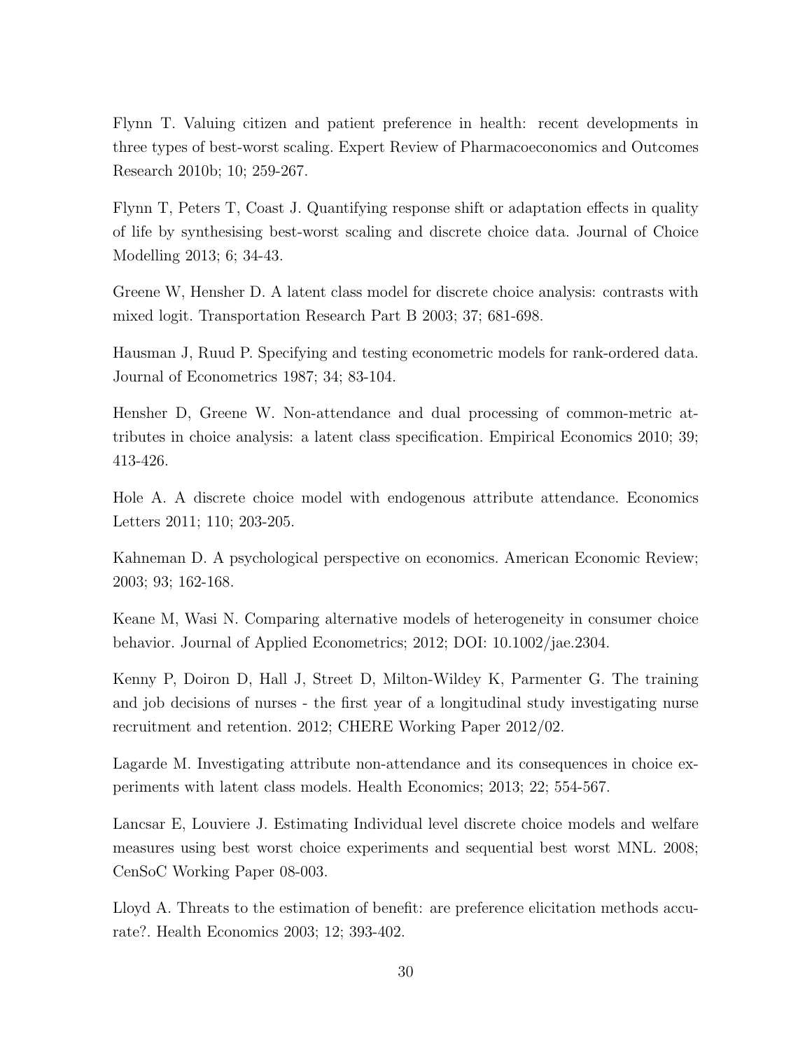Flynn T. Valuing citizen and patient preference in health: recent developments in three types of best-worst scaling. Expert Review of Pharmacoeconomics and Outcomes Research 2010b; 10; 259-267.

Flynn T, Peters T, Coast J. Quantifying response shift or adaptation effects in quality of life by synthesising best-worst scaling and discrete choice data. Journal of Choice Modelling 2013; 6; 34-43.

Greene W, Hensher D. A latent class model for discrete choice analysis: contrasts with mixed logit. Transportation Research Part B 2003; 37; 681-698.

Hausman J, Ruud P. Specifying and testing econometric models for rank-ordered data. Journal of Econometrics 1987; 34; 83-104.

Hensher D, Greene W. Non-attendance and dual processing of common-metric attributes in choice analysis: a latent class specification. Empirical Economics 2010; 39; 413-426.

Hole A. A discrete choice model with endogenous attribute attendance. Economics Letters 2011; 110; 203-205.

Kahneman D. A psychological perspective on economics. American Economic Review; 2003; 93; 162-168.

Keane M, Wasi N. Comparing alternative models of heterogeneity in consumer choice behavior. Journal of Applied Econometrics; 2012; DOI: 10.1002/jae.2304.

Kenny P, Doiron D, Hall J, Street D, Milton-Wildey K, Parmenter G. The training and job decisions of nurses - the first year of a longitudinal study investigating nurse recruitment and retention. 2012; CHERE Working Paper 2012/02.

Lagarde M. Investigating attribute non-attendance and its consequences in choice experiments with latent class models. Health Economics; 2013; 22; 554-567.

Lancsar E, Louviere J. Estimating Individual level discrete choice models and welfare measures using best worst choice experiments and sequential best worst MNL. 2008; CenSoC Working Paper 08-003.

Lloyd A. Threats to the estimation of benefit: are preference elicitation methods accurate?. Health Economics 2003; 12; 393-402.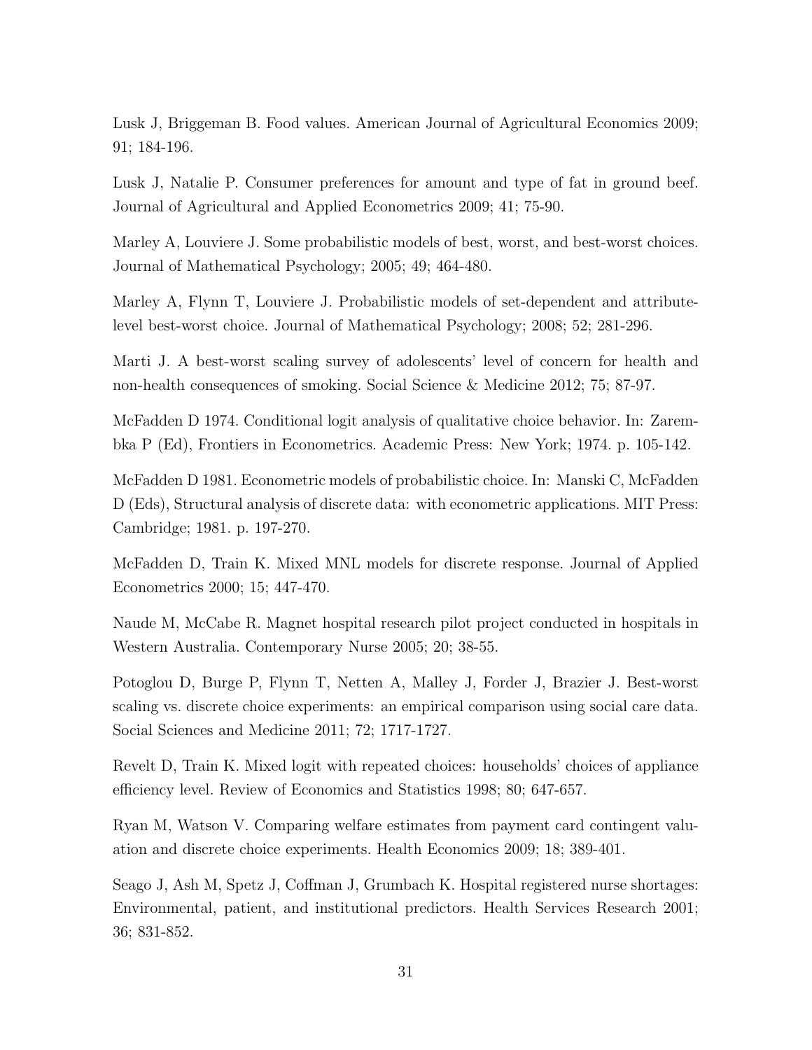Lusk J, Briggeman B. Food values. American Journal of Agricultural Economics 2009; 91; 184-196.

Lusk J, Natalie P. Consumer preferences for amount and type of fat in ground beef. Journal of Agricultural and Applied Econometrics 2009; 41; 75-90.

Marley A, Louviere J. Some probabilistic models of best, worst, and best-worst choices. Journal of Mathematical Psychology; 2005; 49; 464-480.

Marley A, Flynn T, Louviere J. Probabilistic models of set-dependent and attributelevel best-worst choice. Journal of Mathematical Psychology; 2008; 52; 281-296.

Marti J. A best-worst scaling survey of adolescents' level of concern for health and non-health consequences of smoking. Social Science & Medicine 2012; 75; 87-97.

McFadden D 1974. Conditional logit analysis of qualitative choice behavior. In: Zarembka P (Ed), Frontiers in Econometrics. Academic Press: New York; 1974. p. 105-142.

McFadden D 1981. Econometric models of probabilistic choice. In: Manski C, McFadden D (Eds), Structural analysis of discrete data: with econometric applications. MIT Press: Cambridge; 1981. p. 197-270.

McFadden D, Train K. Mixed MNL models for discrete response. Journal of Applied Econometrics 2000; 15; 447-470.

Naude M, McCabe R. Magnet hospital research pilot project conducted in hospitals in Western Australia. Contemporary Nurse 2005; 20; 38-55.

Potoglou D, Burge P, Flynn T, Netten A, Malley J, Forder J, Brazier J. Best-worst scaling vs. discrete choice experiments: an empirical comparison using social care data. Social Sciences and Medicine 2011; 72; 1717-1727.

Revelt D, Train K. Mixed logit with repeated choices: households' choices of appliance efficiency level. Review of Economics and Statistics 1998; 80; 647-657.

Ryan M, Watson V. Comparing welfare estimates from payment card contingent valuation and discrete choice experiments. Health Economics 2009; 18; 389-401.

Seago J, Ash M, Spetz J, Coffman J, Grumbach K. Hospital registered nurse shortages: Environmental, patient, and institutional predictors. Health Services Research 2001; 36; 831-852.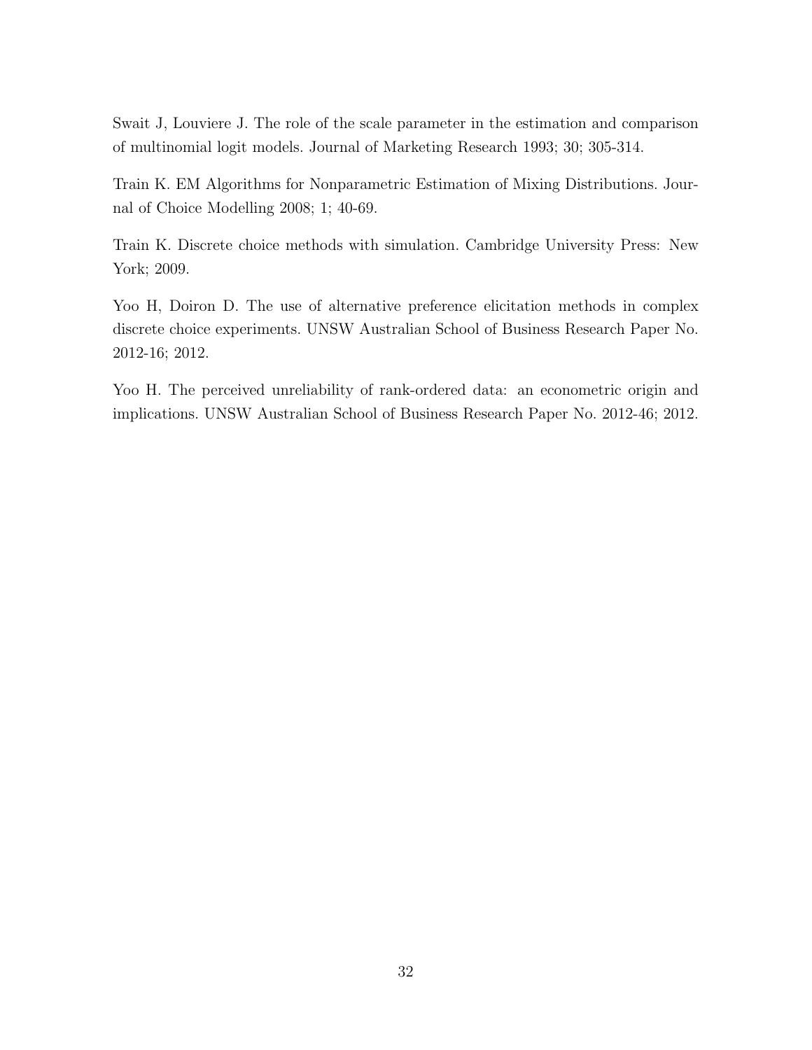Swait J, Louviere J. The role of the scale parameter in the estimation and comparison of multinomial logit models. Journal of Marketing Research 1993; 30; 305-314.

Train K. EM Algorithms for Nonparametric Estimation of Mixing Distributions. Journal of Choice Modelling 2008; 1; 40-69.

Train K. Discrete choice methods with simulation. Cambridge University Press: New York; 2009.

Yoo H, Doiron D. The use of alternative preference elicitation methods in complex discrete choice experiments. UNSW Australian School of Business Research Paper No. 2012-16; 2012.

Yoo H. The perceived unreliability of rank-ordered data: an econometric origin and implications. UNSW Australian School of Business Research Paper No. 2012-46; 2012.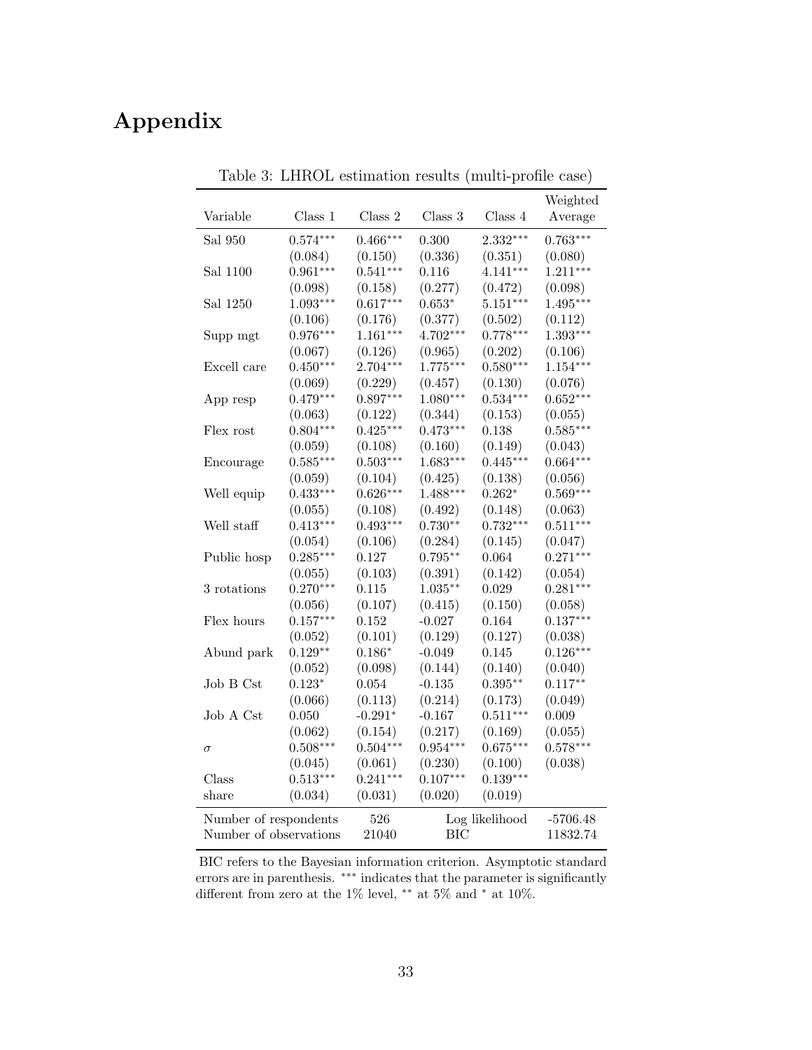# Appendix

|                        |            |            |            |                | Weighted   |
|------------------------|------------|------------|------------|----------------|------------|
| Variable               | Class 1    | Class 2    | Class 3    | Class $4$      | Average    |
| Sal 950                | $0.574***$ | $0.466***$ | 0.300      | 2.332***       | $0.763***$ |
|                        | (0.084)    | (0.150)    | (0.336)    | (0.351)        | (0.080)    |
| Sal 1100               | $0.961***$ | $0.541***$ | 0.116      | $4.141***$     | $1.211***$ |
|                        | (0.098)    | (0.158)    | (0.277)    | (0.472)        | (0.098)    |
| Sal 1250               | $1.093***$ | $0.617***$ | $0.653*$   | $5.151***$     | $1.495***$ |
|                        | (0.106)    | (0.176)    | (0.377)    | (0.502)        | (0.112)    |
| Supp mgt               | $0.976***$ | $1.161***$ | $4.702***$ | $0.778***$     | $1.393***$ |
|                        | (0.067)    | (0.126)    | (0.965)    | (0.202)        | (0.106)    |
| Excell care            | $0.450***$ | $2.704***$ | $1.775***$ | $0.580***$     | $1.154***$ |
|                        | (0.069)    | (0.229)    | (0.457)    | (0.130)        | (0.076)    |
| App resp               | $0.479***$ | $0.897***$ | $1.080***$ | $0.534***$     | $0.652***$ |
|                        | (0.063)    | (0.122)    | (0.344)    | (0.153)        | (0.055)    |
| Flex rost              | $0.804***$ | $0.425***$ | $0.473***$ | 0.138          | $0.585***$ |
|                        | (0.059)    | (0.108)    | (0.160)    | (0.149)        | (0.043)    |
| Encourage              | $0.585***$ | $0.503***$ | $1.683***$ | $0.445***$     | $0.664***$ |
|                        | (0.059)    | (0.104)    | (0.425)    | (0.138)        | (0.056)    |
| Well equip             | $0.433***$ | $0.626***$ | $1.488***$ | $0.262*$       | $0.569***$ |
|                        | (0.055)    | (0.108)    | (0.492)    | (0.148)        | (0.063)    |
| Well staff             | $0.413***$ | $0.493***$ | $0.730**$  | $0.732***$     | $0.511***$ |
|                        | (0.054)    | (0.106)    | (0.284)    | (0.145)        | (0.047)    |
| Public hosp            | $0.285***$ | 0.127      | $0.795**$  | 0.064          | $0.271***$ |
|                        | (0.055)    | (0.103)    | (0.391)    | (0.142)        | (0.054)    |
| 3 rotations            | $0.270***$ | 0.115      | $1.035***$ | 0.029          | $0.281***$ |
|                        | (0.056)    | (0.107)    | (0.415)    | (0.150)        | (0.058)    |
| Flex hours             | $0.157***$ | 0.152      | $-0.027$   | 0.164          | $0.137***$ |
|                        | (0.052)    | (0.101)    | (0.129)    | (0.127)        | (0.038)    |
| Abund park             | $0.129**$  | $0.186*$   | $-0.049$   | 0.145          | $0.126***$ |
|                        | (0.052)    | (0.098)    | (0.144)    | (0.140)        | (0.040)    |
| Job B Cst              | $0.123*$   | 0.054      | $-0.135$   | $0.395**$      | $0.117**$  |
|                        | (0.066)    | (0.113)    | (0.214)    | (0.173)        | (0.049)    |
| Job A Cst              | 0.050      | $-0.291*$  | $-0.167$   | $0.511***$     | 0.009      |
|                        | (0.062)    | (0.154)    | (0.217)    | (0.169)        | (0.055)    |
| $\sigma$               | $0.508***$ | $0.504***$ | $0.954***$ | $0.675***$     | $0.578***$ |
|                        | (0.045)    | (0.061)    | (0.230)    | (0.100)        | (0.038)    |
| Class                  | $0.513***$ | $0.241***$ | $0.107***$ | $0.139***$     |            |
| share                  | (0.034)    | (0.031)    | (0.020)    | (0.019)        |            |
| Number of respondents  |            | 526        |            | Log likelihood | $-5706.48$ |
| Number of observations |            | 21040      | <b>BIC</b> |                | 11832.74   |
|                        |            |            |            |                |            |

Table 3: LHROL estimation results (multi-profile case)

BIC refers to the Bayesian information criterion. Asymptotic standard errors are in parenthesis. <sup>∗</sup>\*\* indicates that the parameter is significantly different from zero at the 1% level, \*\* at 5% and \* at 10%.